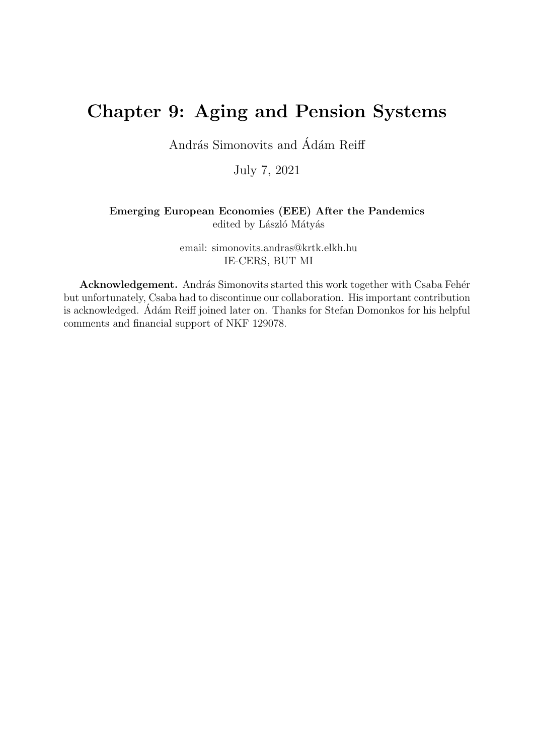# Chapter 9: Aging and Pension Systems

András Simonovits and Ádám Reiff

July 7, 2021

#### Emerging European Economies (EEE) After the Pandemics edited by László Mátyás

email: simonovits.andras@krtk.elkh.hu IE-CERS, BUT MI

Acknowledgement. András Simonovits started this work together with Csaba Fehér but unfortunately, Csaba had to discontinue our collaboration. His important contribution is acknowledged. Adám Reiff joined later on. Thanks for Stefan Domonkos for his helpful comments and financial support of NKF 129078.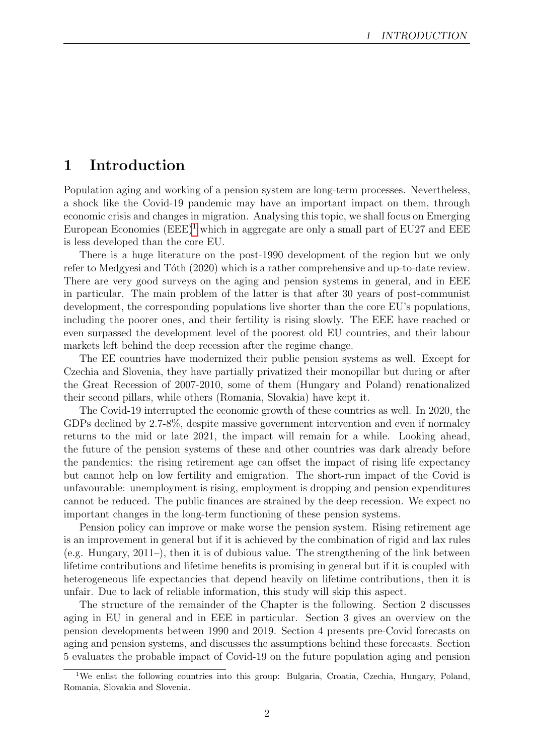# 1 Introduction

Population aging and working of a pension system are long-term processes. Nevertheless, a shock like the Covid-19 pandemic may have an important impact on them, through economic crisis and changes in migration. Analysing this topic, we shall focus on Emerging European Economies  $(EEE)^1$  $(EEE)^1$  which in aggregate are only a small part of EU27 and EEE is less developed than the core EU.

There is a huge literature on the post-1990 development of the region but we only refer to Medgyesi and Tóth (2020) which is a rather comprehensive and up-to-date review. There are very good surveys on the aging and pension systems in general, and in EEE in particular. The main problem of the latter is that after 30 years of post-communist development, the corresponding populations live shorter than the core EU's populations, including the poorer ones, and their fertility is rising slowly. The EEE have reached or even surpassed the development level of the poorest old EU countries, and their labour markets left behind the deep recession after the regime change.

The EE countries have modernized their public pension systems as well. Except for Czechia and Slovenia, they have partially privatized their monopillar but during or after the Great Recession of 2007-2010, some of them (Hungary and Poland) renationalized their second pillars, while others (Romania, Slovakia) have kept it.

The Covid-19 interrupted the economic growth of these countries as well. In 2020, the GDPs declined by 2.7-8%, despite massive government intervention and even if normalcy returns to the mid or late 2021, the impact will remain for a while. Looking ahead, the future of the pension systems of these and other countries was dark already before the pandemics: the rising retirement age can offset the impact of rising life expectancy but cannot help on low fertility and emigration. The short-run impact of the Covid is unfavourable: unemployment is rising, employment is dropping and pension expenditures cannot be reduced. The public finances are strained by the deep recession. We expect no important changes in the long-term functioning of these pension systems.

Pension policy can improve or make worse the pension system. Rising retirement age is an improvement in general but if it is achieved by the combination of rigid and lax rules (e.g. Hungary, 2011–), then it is of dubious value. The strengthening of the link between lifetime contributions and lifetime benefits is promising in general but if it is coupled with heterogeneous life expectancies that depend heavily on lifetime contributions, then it is unfair. Due to lack of reliable information, this study will skip this aspect.

The structure of the remainder of the Chapter is the following. Section 2 discusses aging in EU in general and in EEE in particular. Section 3 gives an overview on the pension developments between 1990 and 2019. Section 4 presents pre-Covid forecasts on aging and pension systems, and discusses the assumptions behind these forecasts. Section 5 evaluates the probable impact of Covid-19 on the future population aging and pension

<span id="page-1-0"></span><sup>&</sup>lt;sup>1</sup>We enlist the following countries into this group: Bulgaria, Croatia, Czechia, Hungary, Poland, Romania, Slovakia and Slovenia.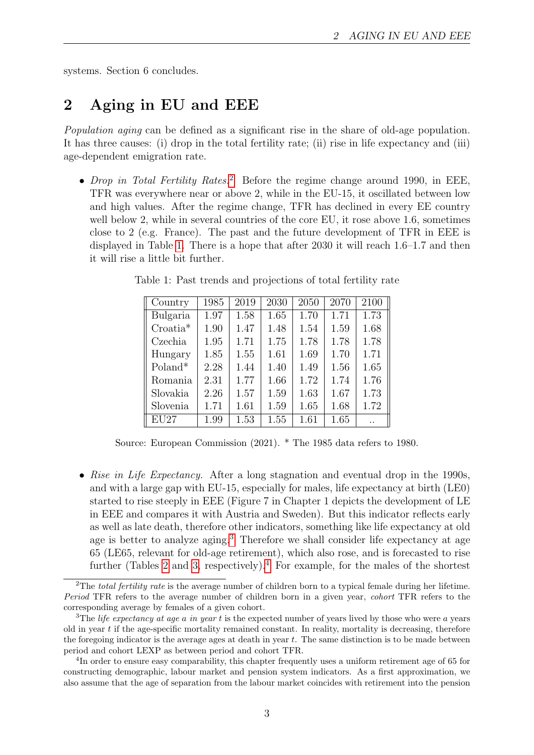systems. Section 6 concludes.

# 2 Aging in EU and EEE

Population aging can be defined as a significant rise in the share of old-age population. It has three causes: (i) drop in the total fertility rate; (ii) rise in life expectancy and (iii) age-dependent emigration rate.

• Drop in Total Fertility Rates.<sup>[2](#page-2-0)</sup> Before the regime change around 1990, in EEE, TFR was everywhere near or above 2, while in the EU-15, it oscillated between low and high values. After the regime change, TFR has declined in every EE country well below 2, while in several countries of the core EU, it rose above 1.6, sometimes close to 2 (e.g. France). The past and the future development of TFR in EEE is displayed in Table [1.](#page-2-1) There is a hope that after 2030 it will reach 1.6–1.7 and then it will rise a little bit further.

| Country            | 1985 | 2019 | 2030 | 2050 | 2070 | 2100 |
|--------------------|------|------|------|------|------|------|
| Bulgaria           | 1.97 | 1.58 | 1.65 | 1.70 | 1.71 | 1.73 |
| $Croatia*$         | 1.90 | 1.47 | 1.48 | 1.54 | 1.59 | 1.68 |
| Czechia            | 1.95 | 1.71 | 1.75 | 1.78 | 1.78 | 1.78 |
| Hungary            | 1.85 | 1.55 | 1.61 | 1.69 | 1.70 | 1.71 |
| Poland*            | 2.28 | 1.44 | 1.40 | 1.49 | 1.56 | 1.65 |
| Romania            | 2.31 | 1.77 | 1.66 | 1.72 | 1.74 | 1.76 |
| Slovakia           | 2.26 | 1.57 | 1.59 | 1.63 | 1.67 | 1.73 |
| Slovenia           | 1.71 | 1.61 | 1.59 | 1.65 | 1.68 | 1.72 |
| $\overline{EU}$ 27 | 1.99 | 1.53 | 1.55 | 1.61 | 1.65 |      |

<span id="page-2-1"></span>Table 1: Past trends and projections of total fertility rate

Source: European Commission (2021). \* The 1985 data refers to 1980.

• Rise in Life Expectancy. After a long stagnation and eventual drop in the 1990s, and with a large gap with EU-15, especially for males, life expectancy at birth (LE0) started to rise steeply in EEE (Figure 7 in Chapter 1 depicts the development of LE in EEE and compares it with Austria and Sweden). But this indicator reflects early as well as late death, therefore other indicators, something like life expectancy at old age is better to analyze aging.<sup>[3](#page-2-2)</sup> Therefore we shall consider life expectancy at age 65 (LE65, relevant for old-age retirement), which also rose, and is forecasted to rise further (Tables [2](#page-3-0) and [3,](#page-3-1) respectively).<sup>[4](#page-2-3)</sup> For example, for the males of the shortest

<span id="page-2-0"></span><sup>&</sup>lt;sup>2</sup>The total fertility rate is the average number of children born to a typical female during her lifetime. Period TFR refers to the average number of children born in a given year, cohort TFR refers to the corresponding average by females of a given cohort.

<span id="page-2-2"></span><sup>&</sup>lt;sup>3</sup>The *life expectancy at age a in year t* is the expected number of years lived by those who were a years old in year  $t$  if the age-specific mortality remained constant. In reality, mortality is decreasing, therefore the foregoing indicator is the average ages at death in year t. The same distinction is to be made between period and cohort LEXP as between period and cohort TFR.

<span id="page-2-3"></span><sup>&</sup>lt;sup>4</sup>In order to ensure easy comparability, this chapter frequently uses a uniform retirement age of 65 for constructing demographic, labour market and pension system indicators. As a first approximation, we also assume that the age of separation from the labour market coincides with retirement into the pension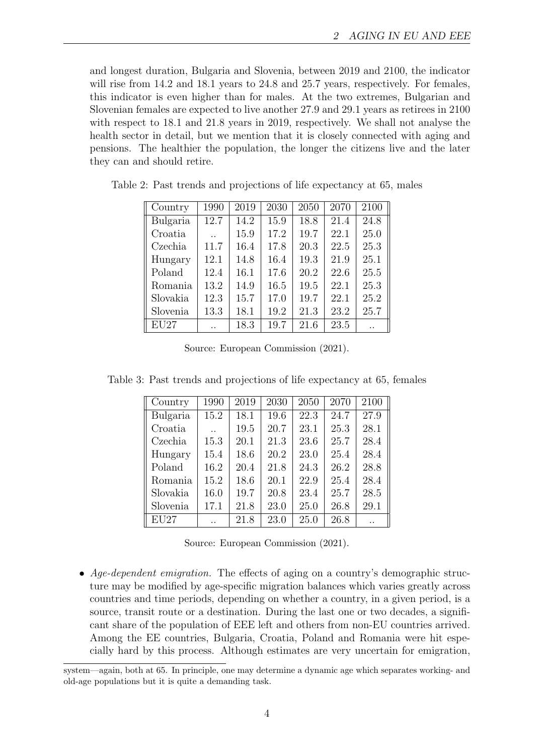and longest duration, Bulgaria and Slovenia, between 2019 and 2100, the indicator will rise from 14.2 and 18.1 years to 24.8 and 25.7 years, respectively. For females, this indicator is even higher than for males. At the two extremes, Bulgarian and Slovenian females are expected to live another 27.9 and 29.1 years as retirees in 2100 with respect to 18.1 and 21.8 years in 2019, respectively. We shall not analyse the health sector in detail, but we mention that it is closely connected with aging and pensions. The healthier the population, the longer the citizens live and the later they can and should retire.

| Country  | 1990                 | 2019 | 2030 | 2050 | 2070 | 2100 |
|----------|----------------------|------|------|------|------|------|
| Bulgaria | 12.7                 | 14.2 | 15.9 | 18.8 | 21.4 | 24.8 |
| Croatia  | $\ddot{\phantom{a}}$ | 15.9 | 17.2 | 19.7 | 22.1 | 25.0 |
| Czechia  | 11.7                 | 16.4 | 17.8 | 20.3 | 22.5 | 25.3 |
| Hungary  | 12.1                 | 14.8 | 16.4 | 19.3 | 21.9 | 25.1 |
| Poland   | 12.4                 | 16.1 | 17.6 | 20.2 | 22.6 | 25.5 |
| Romania  | 13.2                 | 14.9 | 16.5 | 19.5 | 22.1 | 25.3 |
| Slovakia | 12.3                 | 15.7 | 17.0 | 19.7 | 22.1 | 25.2 |
| Slovenia | 13.3                 | 18.1 | 19.2 | 21.3 | 23.2 | 25.7 |
| EU27     |                      | 18.3 | 19.7 | 21.6 | 23.5 |      |

<span id="page-3-0"></span>Table 2: Past trends and projections of life expectancy at 65, males

Source: European Commission (2021).

<span id="page-3-1"></span>Table 3: Past trends and projections of life expectancy at 65, females

| Country  | 1990 | 2019 | 2030 | 2050 | 2070 | 2100 |
|----------|------|------|------|------|------|------|
| Bulgaria | 15.2 | 18.1 | 19.6 | 22.3 | 24.7 | 27.9 |
| Croatia  |      | 19.5 | 20.7 | 23.1 | 25.3 | 28.1 |
| Czechia  | 15.3 | 20.1 | 21.3 | 23.6 | 25.7 | 28.4 |
| Hungary  | 15.4 | 18.6 | 20.2 | 23.0 | 25.4 | 28.4 |
| Poland   | 16.2 | 20.4 | 21.8 | 24.3 | 26.2 | 28.8 |
| Romania  | 15.2 | 18.6 | 20.1 | 22.9 | 25.4 | 28.4 |
| Slovakia | 16.0 | 19.7 | 20.8 | 23.4 | 25.7 | 28.5 |
| Slovenia | 17.1 | 21.8 | 23.0 | 25.0 | 26.8 | 29.1 |
| EU27     |      | 21.8 | 23.0 | 25.0 | 26.8 |      |

Source: European Commission (2021).

• Age-dependent emigration. The effects of aging on a country's demographic structure may be modified by age-specific migration balances which varies greatly across countries and time periods, depending on whether a country, in a given period, is a source, transit route or a destination. During the last one or two decades, a significant share of the population of EEE left and others from non-EU countries arrived. Among the EE countries, Bulgaria, Croatia, Poland and Romania were hit especially hard by this process. Although estimates are very uncertain for emigration,

system—again, both at 65. In principle, one may determine a dynamic age which separates working- and old-age populations but it is quite a demanding task.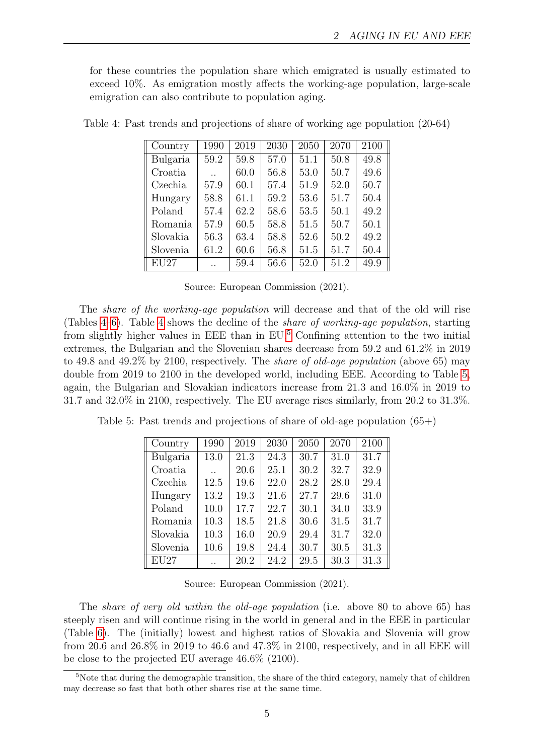for these countries the population share which emigrated is usually estimated to exceed 10%. As emigration mostly affects the working-age population, large-scale emigration can also contribute to population aging.

| Country  | 1990                 | 2019 | 2030 | 2050 | 2070 | 2100 |
|----------|----------------------|------|------|------|------|------|
| Bulgaria | 59.2                 | 59.8 | 57.0 | 51.1 | 50.8 | 49.8 |
| Croatia  | $\ddot{\phantom{a}}$ | 60.0 | 56.8 | 53.0 | 50.7 | 49.6 |
| Czechia  | 57.9                 | 60.1 | 57.4 | 51.9 | 52.0 | 50.7 |
| Hungary  | 58.8                 | 61.1 | 59.2 | 53.6 | 51.7 | 50.4 |
| Poland   | 57.4                 | 62.2 | 58.6 | 53.5 | 50.1 | 49.2 |
| Romania  | 57.9                 | 60.5 | 58.8 | 51.5 | 50.7 | 50.1 |
| Slovakia | 56.3                 | 63.4 | 58.8 | 52.6 | 50.2 | 49.2 |
| Slovenia | 61.2                 | 60.6 | 56.8 | 51.5 | 51.7 | 50.4 |
| EU27     |                      | 59.4 | 56.6 | 52.0 | 51.2 | 49.9 |

<span id="page-4-0"></span>Table 4: Past trends and projections of share of working age population (20-64)

Source: European Commission (2021).

The *share of the working-age population* will decrease and that of the old will rise (Tables [4](#page-4-0)[–6\)](#page-5-0). Table [4](#page-4-0) shows the decline of the share of working-age population, starting from slightly higher values in EEE than in EU.[5](#page-4-1) Confining attention to the two initial extremes, the Bulgarian and the Slovenian shares decrease from 59.2 and 61.2% in 2019 to 49.8 and 49.2% by 2100, respectively. The share of old-age population (above 65) may double from 2019 to 2100 in the developed world, including EEE. According to Table [5,](#page-4-2) again, the Bulgarian and Slovakian indicators increase from 21.3 and 16.0% in 2019 to 31.7 and 32.0% in 2100, respectively. The EU average rises similarly, from 20.2 to 31.3%.

<span id="page-4-2"></span>Table 5: Past trends and projections of share of old-age population (65+)

| Country           | 1990      | 2019 | 2030 | 2050 | 2070 | 2100 |
|-------------------|-----------|------|------|------|------|------|
| Bulgaria          | 13.0      | 21.3 | 24.3 | 30.7 | 31.0 | 31.7 |
| Croatia           | $\ddotsc$ | 20.6 | 25.1 | 30.2 | 32.7 | 32.9 |
| Czechia           | 12.5      | 19.6 | 22.0 | 28.2 | 28.0 | 29.4 |
| Hungary           | 13.2      | 19.3 | 21.6 | 27.7 | 29.6 | 31.0 |
| Poland            | 10.0      | 17.7 | 22.7 | 30.1 | 34.0 | 33.9 |
| Romania           | 10.3      | 18.5 | 21.8 | 30.6 | 31.5 | 31.7 |
| Slovakia          | 10.3      | 16.0 | 20.9 | 29.4 | 31.7 | 32.0 |
| Slovenia          | 10.6      | 19.8 | 24.4 | 30.7 | 30.5 | 31.3 |
| $\overline{E}U27$ |           | 20.2 | 24.2 | 29.5 | 30.3 | 31.3 |

Source: European Commission (2021).

The share of very old within the old-age population (i.e. above 80 to above 65) has steeply risen and will continue rising in the world in general and in the EEE in particular (Table [6\)](#page-5-0). The (initially) lowest and highest ratios of Slovakia and Slovenia will grow from 20.6 and 26.8% in 2019 to 46.6 and 47.3% in 2100, respectively, and in all EEE will be close to the projected EU average 46.6% (2100).

<span id="page-4-1"></span><sup>&</sup>lt;sup>5</sup>Note that during the demographic transition, the share of the third category, namely that of children may decrease so fast that both other shares rise at the same time.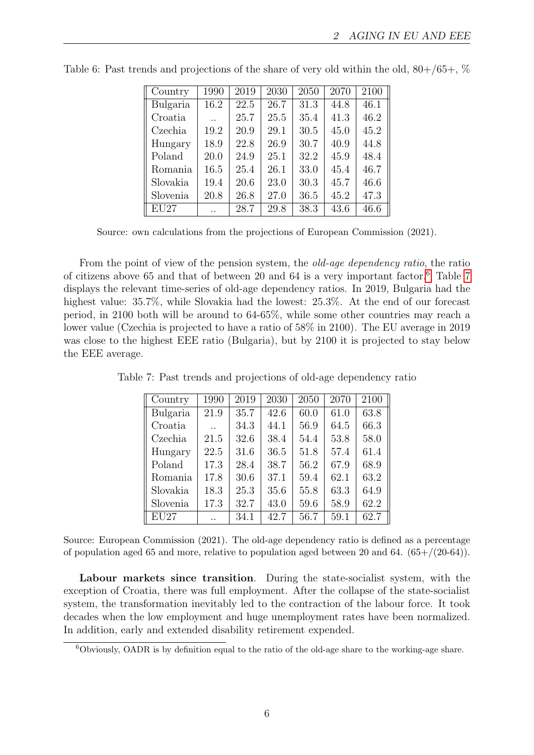| Country  | 1990                 | 2019 | 2030 | 2050 | 2070 | 2100 |
|----------|----------------------|------|------|------|------|------|
| Bulgaria | 16.2                 | 22.5 | 26.7 | 31.3 | 44.8 | 46.1 |
| Croatia  |                      | 25.7 | 25.5 | 35.4 | 41.3 | 46.2 |
| Czechia  | 19.2                 | 20.9 | 29.1 | 30.5 | 45.0 | 45.2 |
| Hungary  | 18.9                 | 22.8 | 26.9 | 30.7 | 40.9 | 44.8 |
| Poland   | 20.0                 | 24.9 | 25.1 | 32.2 | 45.9 | 48.4 |
| Romania  | 16.5                 | 25.4 | 26.1 | 33.0 | 45.4 | 46.7 |
| Slovakia | 19.4                 | 20.6 | 23.0 | 30.3 | 45.7 | 46.6 |
| Slovenia | 20.8                 | 26.8 | 27.0 | 36.5 | 45.2 | 47.3 |
| EU27     | $\ddot{\phantom{0}}$ | 28.7 | 29.8 | 38.3 | 43.6 | 46.6 |

<span id="page-5-0"></span>Table 6: Past trends and projections of the share of very old within the old,  $80+/65+,$  %

Source: own calculations from the projections of European Commission (2021).

From the point of view of the pension system, the *old-age dependency ratio*, the ratio of citizens above 65 and that of between 20 and 64 is a very important factor.[6](#page-5-1) Table [7](#page-5-2) displays the relevant time-series of old-age dependency ratios. In 2019, Bulgaria had the highest value:  $35.7\%$ , while Slovakia had the lowest:  $25.3\%$ . At the end of our forecast period, in 2100 both will be around to 64-65%, while some other countries may reach a lower value (Czechia is projected to have a ratio of 58% in 2100). The EU average in 2019 was close to the highest EEE ratio (Bulgaria), but by 2100 it is projected to stay below the EEE average.

<span id="page-5-2"></span>Table 7: Past trends and projections of old-age dependency ratio  $2010$  2090 2050 2050 2100

| Country  | 1990 | 2019 | 2030 | 2050 | 2070 | 2100 |
|----------|------|------|------|------|------|------|
| Bulgaria | 21.9 | 35.7 | 42.6 | 60.0 | 61.0 | 63.8 |
| Croatia  |      | 34.3 | 44.1 | 56.9 | 64.5 | 66.3 |
| Czechia  | 21.5 | 32.6 | 38.4 | 54.4 | 53.8 | 58.0 |
| Hungary  | 22.5 | 31.6 | 36.5 | 51.8 | 57.4 | 61.4 |
| Poland   | 17.3 | 28.4 | 38.7 | 56.2 | 67.9 | 68.9 |
| Romania  | 17.8 | 30.6 | 37.1 | 59.4 | 62.1 | 63.2 |
| Slovakia | 18.3 | 25.3 | 35.6 | 55.8 | 63.3 | 64.9 |
| Slovenia | 17.3 | 32.7 | 43.0 | 59.6 | 58.9 | 62.2 |
| EU27     |      | 34.1 | 42.7 | 56.7 | 59.1 | 62.7 |

Source: European Commission (2021). The old-age dependency ratio is defined as a percentage of population aged 65 and more, relative to population aged between 20 and 64.  $(65+/20-64)$ .

Labour markets since transition. During the state-socialist system, with the exception of Croatia, there was full employment. After the collapse of the state-socialist system, the transformation inevitably led to the contraction of the labour force. It took decades when the low employment and huge unemployment rates have been normalized. In addition, early and extended disability retirement expended.

<span id="page-5-1"></span><sup>6</sup>Obviously, OADR is by definition equal to the ratio of the old-age share to the working-age share.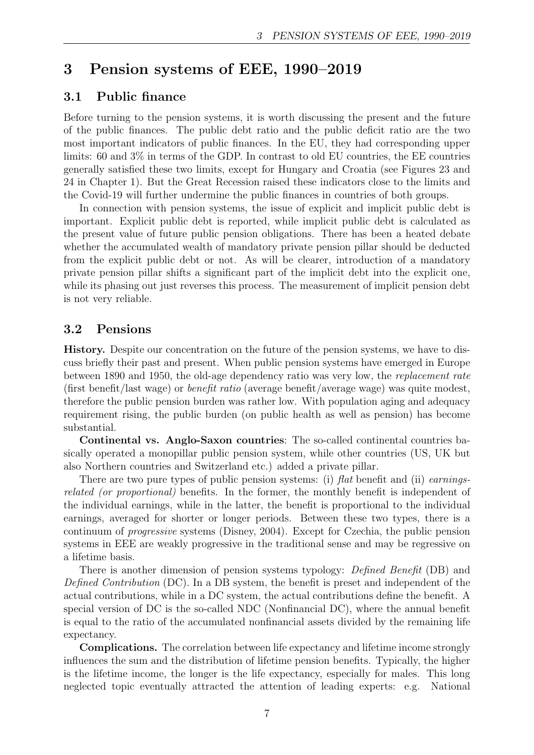# 3 Pension systems of EEE, 1990–2019

### 3.1 Public finance

Before turning to the pension systems, it is worth discussing the present and the future of the public finances. The public debt ratio and the public deficit ratio are the two most important indicators of public finances. In the EU, they had corresponding upper limits: 60 and 3% in terms of the GDP. In contrast to old EU countries, the EE countries generally satisfied these two limits, except for Hungary and Croatia (see Figures 23 and 24 in Chapter 1). But the Great Recession raised these indicators close to the limits and the Covid-19 will further undermine the public finances in countries of both groups.

In connection with pension systems, the issue of explicit and implicit public debt is important. Explicit public debt is reported, while implicit public debt is calculated as the present value of future public pension obligations. There has been a heated debate whether the accumulated wealth of mandatory private pension pillar should be deducted from the explicit public debt or not. As will be clearer, introduction of a mandatory private pension pillar shifts a significant part of the implicit debt into the explicit one, while its phasing out just reverses this process. The measurement of implicit pension debt is not very reliable.

### 3.2 Pensions

History. Despite our concentration on the future of the pension systems, we have to discuss briefly their past and present. When public pension systems have emerged in Europe between 1890 and 1950, the old-age dependency ratio was very low, the replacement rate (first benefit/last wage) or benefit ratio (average benefit/average wage) was quite modest, therefore the public pension burden was rather low. With population aging and adequacy requirement rising, the public burden (on public health as well as pension) has become substantial.

Continental vs. Anglo-Saxon countries: The so-called continental countries basically operated a monopillar public pension system, while other countries (US, UK but also Northern countries and Switzerland etc.) added a private pillar.

There are two pure types of public pension systems: (i) flat benefit and (ii) earningsrelated (or proportional) benefits. In the former, the monthly benefit is independent of the individual earnings, while in the latter, the benefit is proportional to the individual earnings, averaged for shorter or longer periods. Between these two types, there is a continuum of progressive systems (Disney, 2004). Except for Czechia, the public pension systems in EEE are weakly progressive in the traditional sense and may be regressive on a lifetime basis.

There is another dimension of pension systems typology: Defined Benefit (DB) and Defined Contribution (DC). In a DB system, the benefit is preset and independent of the actual contributions, while in a DC system, the actual contributions define the benefit. A special version of DC is the so-called NDC (Nonfinancial DC), where the annual benefit is equal to the ratio of the accumulated nonfinancial assets divided by the remaining life expectancy.

Complications. The correlation between life expectancy and lifetime income strongly influences the sum and the distribution of lifetime pension benefits. Typically, the higher is the lifetime income, the longer is the life expectancy, especially for males. This long neglected topic eventually attracted the attention of leading experts: e.g. National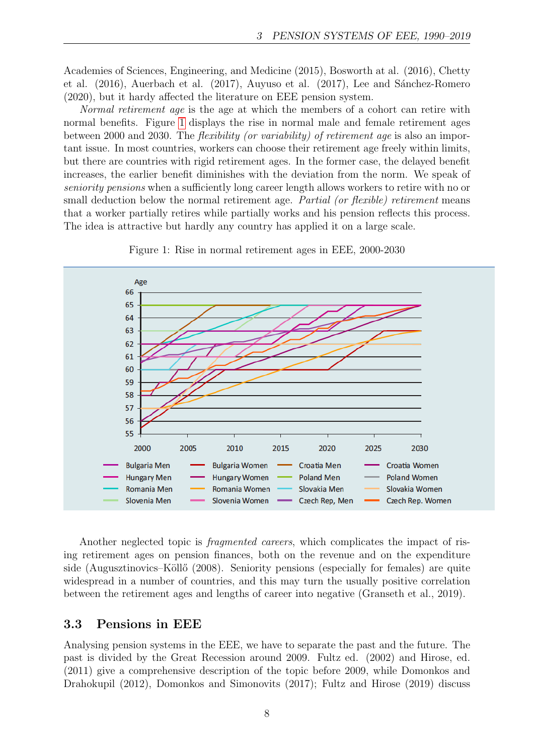Academies of Sciences, Engineering, and Medicine (2015), Bosworth at al. (2016), Chetty et al.  $(2016)$ , Auerbach et al.  $(2017)$ , Auyuso et al.  $(2017)$ , Lee and Sánchez-Romero (2020), but it hardy affected the literature on EEE pension system.

Normal retirement age is the age at which the members of a cohort can retire with normal benefits. Figure [1](#page-7-0) displays the rise in normal male and female retirement ages between 2000 and 2030. The flexibility (or variability) of retirement age is also an important issue. In most countries, workers can choose their retirement age freely within limits, but there are countries with rigid retirement ages. In the former case, the delayed benefit increases, the earlier benefit diminishes with the deviation from the norm. We speak of seniority pensions when a sufficiently long career length allows workers to retire with no or small deduction below the normal retirement age. Partial (or flexible) retirement means that a worker partially retires while partially works and his pension reflects this process. The idea is attractive but hardly any country has applied it on a large scale.

<span id="page-7-0"></span>

Figure 1: Rise in normal retirement ages in EEE, 2000-2030

Another neglected topic is fragmented careers, which complicates the impact of rising retirement ages on pension finances, both on the revenue and on the expenditure side (Augusztinovics–Köllő (2008). Seniority pensions (especially for females) are quite widespread in a number of countries, and this may turn the usually positive correlation between the retirement ages and lengths of career into negative (Granseth et al., 2019).

#### 3.3 Pensions in EEE

Analysing pension systems in the EEE, we have to separate the past and the future. The past is divided by the Great Recession around 2009. Fultz ed. (2002) and Hirose, ed. (2011) give a comprehensive description of the topic before 2009, while Domonkos and Drahokupil (2012), Domonkos and Simonovits (2017); Fultz and Hirose (2019) discuss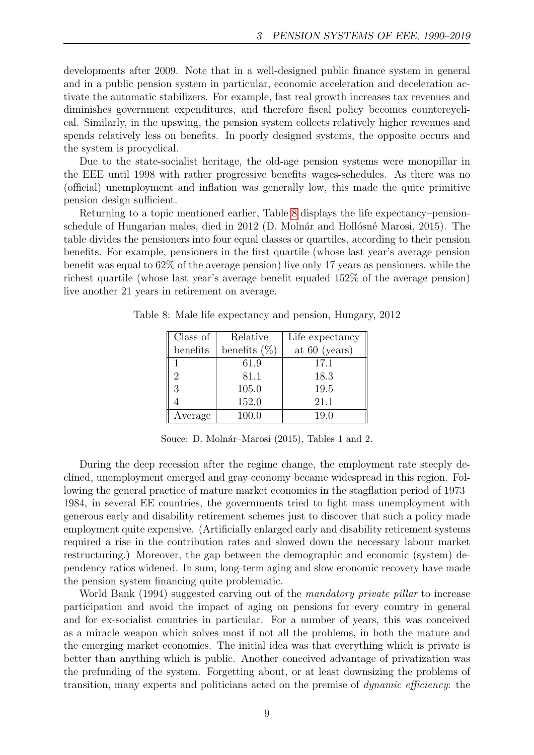developments after 2009. Note that in a well-designed public finance system in general and in a public pension system in particular, economic acceleration and deceleration activate the automatic stabilizers. For example, fast real growth increases tax revenues and diminishes government expenditures, and therefore fiscal policy becomes countercyclical. Similarly, in the upswing, the pension system collects relatively higher revenues and spends relatively less on benefits. In poorly designed systems, the opposite occurs and the system is procyclical.

Due to the state-socialist heritage, the old-age pension systems were monopillar in the EEE until 1998 with rather progressive benefits–wages-schedules. As there was no (official) unemployment and inflation was generally low, this made the quite primitive pension design sufficient.

Returning to a topic mentioned earlier, Table [8](#page-8-0) displays the life expectancy–pensionschedule of Hungarian males, died in 2012 (D. Molnár and Hollósné Marosi, 2015). The table divides the pensioners into four equal classes or quartiles, according to their pension benefits. For example, pensioners in the first quartile (whose last year's average pension benefit was equal to 62% of the average pension) live only 17 years as pensioners, while the richest quartile (whose last year's average benefit equaled 152% of the average pension) live another 21 years in retirement on average.

| Class of | Relative        | Life expectancy |
|----------|-----------------|-----------------|
| benefits | benefits $(\%)$ | at $60$ (years) |
|          | 61.9            | 17.1            |
| 2        | 81.1            | 18.3            |
| 3        | 105.0           | 19.5            |
|          | 152.0           | 21.1            |
| Average  | 100.0           | 19.0            |

<span id="page-8-0"></span>Table 8: Male life expectancy and pension, Hungary, 2012

Souce: D. Molnár–Marosi (2015), Tables 1 and 2.

During the deep recession after the regime change, the employment rate steeply declined, unemployment emerged and gray economy became widespread in this region. Following the general practice of mature market economies in the stagflation period of 1973– 1984, in several EE countries, the governments tried to fight mass unemployment with generous early and disability retirement schemes just to discover that such a policy made employment quite expensive. (Artificially enlarged early and disability retirement systems required a rise in the contribution rates and slowed down the necessary labour market restructuring.) Moreover, the gap between the demographic and economic (system) dependency ratios widened. In sum, long-term aging and slow economic recovery have made the pension system financing quite problematic.

World Bank (1994) suggested carving out of the mandatory private pillar to increase participation and avoid the impact of aging on pensions for every country in general and for ex-socialist countries in particular. For a number of years, this was conceived as a miracle weapon which solves most if not all the problems, in both the mature and the emerging market economies. The initial idea was that everything which is private is better than anything which is public. Another conceived advantage of privatization was the prefunding of the system. Forgetting about, or at least downsizing the problems of transition, many experts and politicians acted on the premise of dynamic efficiency: the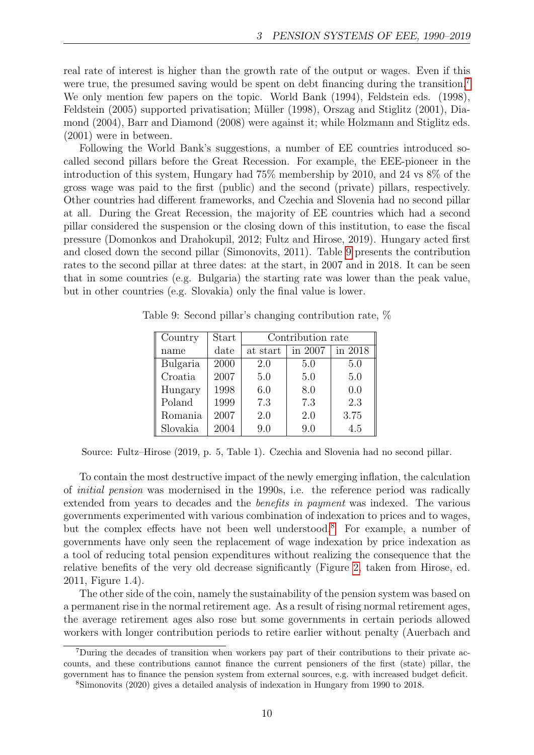real rate of interest is higher than the growth rate of the output or wages. Even if this were true, the presumed saving would be spent on debt financing during the transition.<sup>[7](#page-9-0)</sup> We only mention few papers on the topic. World Bank (1994), Feldstein eds. (1998), Feldstein (2005) supported privatisation; Müller (1998), Orszag and Stiglitz (2001), Diamond (2004), Barr and Diamond (2008) were against it; while Holzmann and Stiglitz eds. (2001) were in between.

Following the World Bank's suggestions, a number of EE countries introduced socalled second pillars before the Great Recession. For example, the EEE-pioneer in the introduction of this system, Hungary had 75% membership by 2010, and 24 vs 8% of the gross wage was paid to the first (public) and the second (private) pillars, respectively. Other countries had different frameworks, and Czechia and Slovenia had no second pillar at all. During the Great Recession, the majority of EE countries which had a second pillar considered the suspension or the closing down of this institution, to ease the fiscal pressure (Domonkos and Drahokupil, 2012; Fultz and Hirose, 2019). Hungary acted first and closed down the second pillar (Simonovits, 2011). Table [9](#page-9-1) presents the contribution rates to the second pillar at three dates: at the start, in 2007 and in 2018. It can be seen that in some countries (e.g. Bulgaria) the starting rate was lower than the peak value, but in other countries (e.g. Slovakia) only the final value is lower.

| Country  | <b>Start</b> | Contribution rate |         |         |  |  |
|----------|--------------|-------------------|---------|---------|--|--|
| name     | date         | at start          | in 2007 | in 2018 |  |  |
| Bulgaria | 2000         | 2.0               | 5.0     | 5.0     |  |  |
| Croatia  | 2007         | 5.0               | 5.0     | 5.0     |  |  |
| Hungary  | 1998         | 6.0               | 8.0     | 0.0     |  |  |
| Poland   | 1999         | 7.3               | 7.3     | 2.3     |  |  |
| Romania  | 2007         | 2.0               | 2.0     | 3.75    |  |  |
| Slovakia | 2004         | 9.0               | 9.0     | 4.5     |  |  |

<span id="page-9-1"></span>Table 9: Second pillar's changing contribution rate, %

Source: Fultz–Hirose (2019, p. 5, Table 1). Czechia and Slovenia had no second pillar.

To contain the most destructive impact of the newly emerging inflation, the calculation of initial pension was modernised in the 1990s, i.e. the reference period was radically extended from years to decades and the benefits in payment was indexed. The various governments experimented with various combination of indexation to prices and to wages, but the complex effects have not been well understood.[8](#page-9-2) For example, a number of governments have only seen the replacement of wage indexation by price indexation as a tool of reducing total pension expenditures without realizing the consequence that the relative benefits of the very old decrease significantly (Figure [2,](#page-10-0) taken from Hirose, ed. 2011, Figure 1.4).

The other side of the coin, namely the sustainability of the pension system was based on a permanent rise in the normal retirement age. As a result of rising normal retirement ages, the average retirement ages also rose but some governments in certain periods allowed workers with longer contribution periods to retire earlier without penalty (Auerbach and

<span id="page-9-0"></span><sup>7</sup>During the decades of transition when workers pay part of their contributions to their private accounts, and these contributions cannot finance the current pensioners of the first (state) pillar, the government has to finance the pension system from external sources, e.g. with increased budget deficit.

<span id="page-9-2"></span><sup>8</sup>Simonovits (2020) gives a detailed analysis of indexation in Hungary from 1990 to 2018.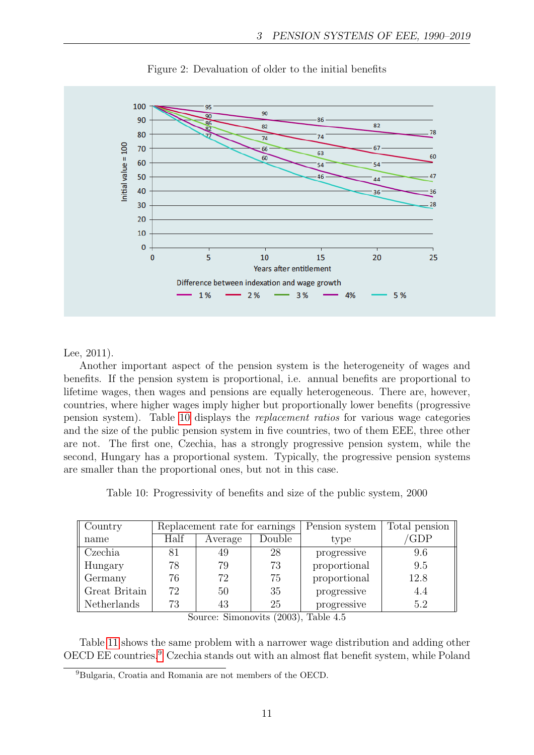<span id="page-10-0"></span>

Figure 2: Devaluation of older to the initial benefits

#### Lee, 2011).

Another important aspect of the pension system is the heterogeneity of wages and benefits. If the pension system is proportional, i.e. annual benefits are proportional to lifetime wages, then wages and pensions are equally heterogeneous. There are, however, countries, where higher wages imply higher but proportionally lower benefits (progressive pension system). Table [10](#page-10-1) displays the replacement ratios for various wage categories and the size of the public pension system in five countries, two of them EEE, three other are not. The first one, Czechia, has a strongly progressive pension system, while the second, Hungary has a proportional system. Typically, the progressive pension systems are smaller than the proportional ones, but not in this case.

Table 10: Progressivity of benefits and size of the public system, 2000

<span id="page-10-1"></span>

| Country       | Replacement rate for earnings |         | Pension system | Total pension |      |
|---------------|-------------------------------|---------|----------------|---------------|------|
| name          | Half                          | Average | Double         | type          | 'GDP |
| Czechia       | 81                            | 49      | 28             | progressive   | 9.6  |
| Hungary       | 78                            | 79      | 73             | proportional  | 9.5  |
| Germany       | 76                            | 72      | 75             | proportional  | 12.8 |
| Great Britain | 72                            | 50      | 35             | progressive   | 4.4  |
| Netherlands   | 73                            | 43      | 25             | progressive   | 5.2  |

Source: Simonovits (2003), Table 4.5

Table [11](#page-11-0) shows the same problem with a narrower wage distribution and adding other OECD EE countries.[9](#page-10-2) Czechia stands out with an almost flat benefit system, while Poland

<span id="page-10-2"></span><sup>9</sup>Bulgaria, Croatia and Romania are not members of the OECD.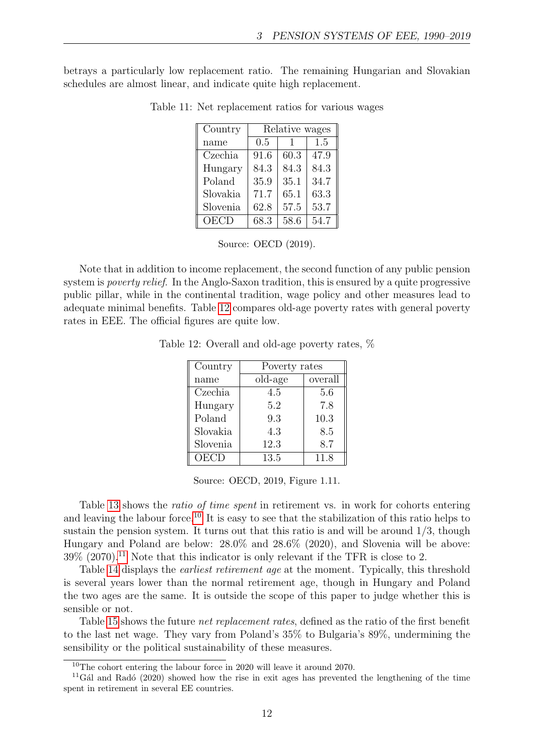<span id="page-11-0"></span>betrays a particularly low replacement ratio. The remaining Hungarian and Slovakian schedules are almost linear, and indicate quite high replacement.

| Country     | Relative wages |      |      |  |  |
|-------------|----------------|------|------|--|--|
| name        | 0.5            |      | 1.5  |  |  |
| Czechia     | 91.6           | 60.3 | 47.9 |  |  |
| Hungary     | 84.3           | 84.3 | 84.3 |  |  |
| Poland      | 35.9           | 35.1 | 34.7 |  |  |
| Slovakia    | 71.7           | 65.1 | 63.3 |  |  |
| Slovenia    | 62.8           | 57.5 | 53.7 |  |  |
| <b>OECD</b> | 68.3           | 58.6 | 54.7 |  |  |

Table 11: Net replacement ratios for various wages

Source: OECD (2019).

<span id="page-11-1"></span>Note that in addition to income replacement, the second function of any public pension system is *poverty relief.* In the Anglo-Saxon tradition, this is ensured by a quite progressive public pillar, while in the continental tradition, wage policy and other measures lead to adequate minimal benefits. Table [12](#page-11-1) compares old-age poverty rates with general poverty rates in EEE. The official figures are quite low.

Table 12: Overall and old-age poverty rates, %

| Country  | Poverty rates |         |  |  |
|----------|---------------|---------|--|--|
| name     | old-age       | overall |  |  |
| Czechia  | 4.5           | 5.6     |  |  |
| Hungary  | 5.2           | 7.8     |  |  |
| Poland   | 9.3           | 10.3    |  |  |
| Slovakia | 4.3           | 8.5     |  |  |
| Slovenia | 12.3          | 8.7     |  |  |
| OECD     | 13.5          | 11.8    |  |  |

Source: OECD, 2019, Figure 1.11.

Table [13](#page-12-0) shows the ratio of time spent in retirement vs. in work for cohorts entering and leaving the labour force.<sup>[10](#page-11-2)</sup> It is easy to see that the stabilization of this ratio helps to sustain the pension system. It turns out that this ratio is and will be around 1/3, though Hungary and Poland are below: 28.0% and 28.6% (2020), and Slovenia will be above:  $39\%$  (2070).<sup>[11](#page-11-3)</sup> Note that this indicator is only relevant if the TFR is close to 2.

Table [14](#page-12-1) displays the earliest retirement age at the moment. Typically, this threshold is several years lower than the normal retirement age, though in Hungary and Poland the two ages are the same. It is outside the scope of this paper to judge whether this is sensible or not.

Table [15](#page-12-2) shows the future net replacement rates, defined as the ratio of the first benefit to the last net wage. They vary from Poland's 35% to Bulgaria's 89%, undermining the sensibility or the political sustainability of these measures.

<span id="page-11-3"></span><span id="page-11-2"></span><sup>10</sup>The cohort entering the labour force in 2020 will leave it around 2070.

 $11\,\text{G\textless}$  and Radó (2020) showed how the rise in exit ages has prevented the lengthening of the time spent in retirement in several EE countries.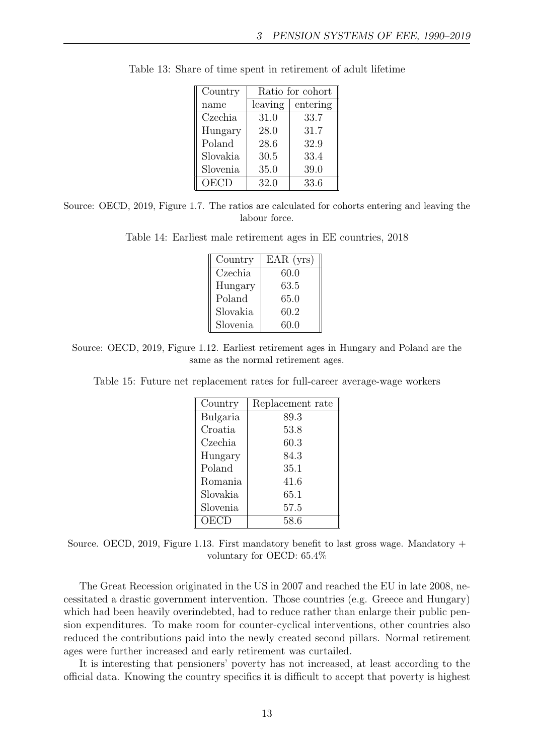| Country  | Ratio for cohort |          |  |  |
|----------|------------------|----------|--|--|
| name     | leaving          | entering |  |  |
| Czechia  | 31.0             | 33.7     |  |  |
| Hungary  | 28.0             | 31.7     |  |  |
| Poland   | 28.6             | 32.9     |  |  |
| Slovakia | 30.5             | 33.4     |  |  |
| Slovenia | 35.0             | 39.0     |  |  |
| OECD     | 32.0             | 33.6     |  |  |

<span id="page-12-0"></span>Table 13: Share of time spent in retirement of adult lifetime

<span id="page-12-1"></span>Source: OECD, 2019, Figure 1.7. The ratios are calculated for cohorts entering and leaving the labour force.

Table 14: Earliest male retirement ages in EE countries, 2018

| Country  | $EAR$ (yrs) |
|----------|-------------|
| Czechia  | 60.0        |
| Hungary  | 63.5        |
| Poland   | 65.0        |
| Slovakia | 60.2        |
| Slovenia | 60.0        |

<span id="page-12-2"></span>Source: OECD, 2019, Figure 1.12. Earliest retirement ages in Hungary and Poland are the same as the normal retirement ages.

Table 15: Future net replacement rates for full-career average-wage workers

| Country  | Replacement rate |
|----------|------------------|
| Bulgaria | 89.3             |
| Croatia  | 53.8             |
| Czechia  | 60.3             |
| Hungary  | 84.3             |
| Poland   | 35.1             |
| Romania  | 41.6             |
| Slovakia | 65.1             |
| Slovenia | 57.5             |
| OECD     | 58.6             |

Source. OECD, 2019, Figure 1.13. First mandatory benefit to last gross wage. Mandatory  $+$ voluntary for OECD: 65.4%

The Great Recession originated in the US in 2007 and reached the EU in late 2008, necessitated a drastic government intervention. Those countries (e.g. Greece and Hungary) which had been heavily overindebted, had to reduce rather than enlarge their public pension expenditures. To make room for counter-cyclical interventions, other countries also reduced the contributions paid into the newly created second pillars. Normal retirement ages were further increased and early retirement was curtailed.

It is interesting that pensioners' poverty has not increased, at least according to the official data. Knowing the country specifics it is difficult to accept that poverty is highest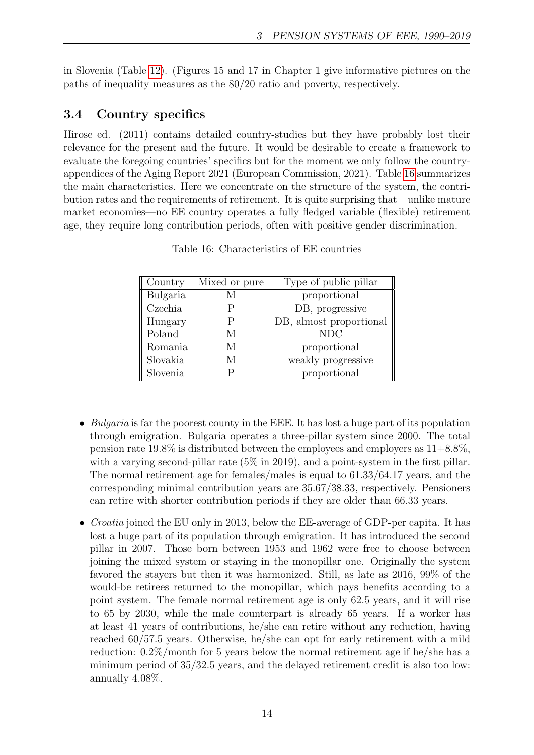in Slovenia (Table [12\)](#page-11-1). (Figures 15 and 17 in Chapter 1 give informative pictures on the paths of inequality measures as the 80/20 ratio and poverty, respectively.

# 3.4 Country specifics

Hirose ed. (2011) contains detailed country-studies but they have probably lost their relevance for the present and the future. It would be desirable to create a framework to evaluate the foregoing countries' specifics but for the moment we only follow the countryappendices of the Aging Report 2021 (European Commission, 2021). Table [16](#page-13-0) summarizes the main characteristics. Here we concentrate on the structure of the system, the contribution rates and the requirements of retirement. It is quite surprising that—unlike mature market economies—no EE country operates a fully fledged variable (flexible) retirement age, they require long contribution periods, often with positive gender discrimination.

<span id="page-13-0"></span>

| Country  | Mixed or pure | Type of public pillar   |
|----------|---------------|-------------------------|
| Bulgaria |               | proportional            |
| Czechia  |               | DB, progressive         |
| Hungary  | Ρ             | DB, almost proportional |
| Poland   | М             | <b>NDC</b>              |
| Romania  | M             | proportional            |
| Slovakia | М             | weakly progressive      |
| Slovenia |               | proportional            |

Table 16: Characteristics of EE countries

- Bulgaria is far the poorest county in the EEE. It has lost a huge part of its population through emigration. Bulgaria operates a three-pillar system since 2000. The total pension rate  $19.8\%$  is distributed between the employees and employers as  $11+8.8\%$ , with a varying second-pillar rate  $(5\%$  in 2019), and a point-system in the first pillar. The normal retirement age for females/males is equal to 61.33/64.17 years, and the corresponding minimal contribution years are 35.67/38.33, respectively. Pensioners can retire with shorter contribution periods if they are older than 66.33 years.
- Croatia joined the EU only in 2013, below the EE-average of GDP-per capita. It has lost a huge part of its population through emigration. It has introduced the second pillar in 2007. Those born between 1953 and 1962 were free to choose between joining the mixed system or staying in the monopillar one. Originally the system favored the stayers but then it was harmonized. Still, as late as 2016, 99% of the would-be retirees returned to the monopillar, which pays benefits according to a point system. The female normal retirement age is only 62.5 years, and it will rise to 65 by 2030, while the male counterpart is already 65 years. If a worker has at least 41 years of contributions, he/she can retire without any reduction, having reached 60/57.5 years. Otherwise, he/she can opt for early retirement with a mild reduction: 0.2%/month for 5 years below the normal retirement age if he/she has a minimum period of 35/32.5 years, and the delayed retirement credit is also too low: annually 4.08%.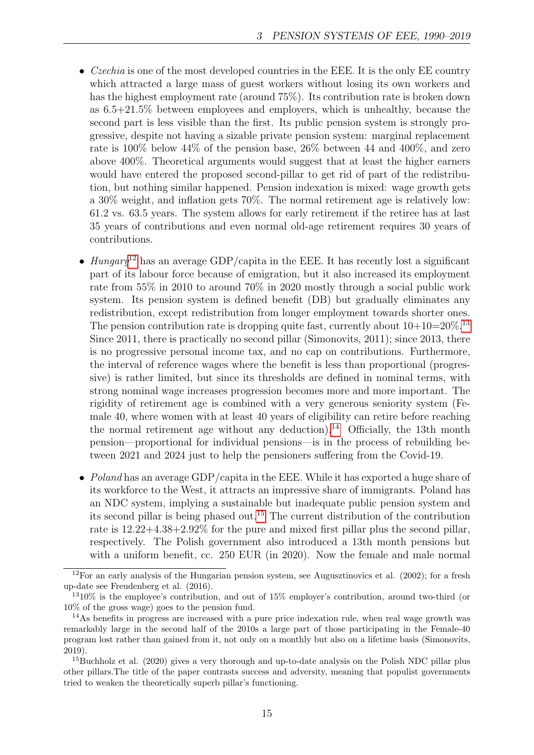- Czechia is one of the most developed countries in the EEE. It is the only EE country which attracted a large mass of guest workers without losing its own workers and has the highest employment rate (around 75%). Its contribution rate is broken down as 6.5+21.5% between employees and employers, which is unhealthy, because the second part is less visible than the first. Its public pension system is strongly progressive, despite not having a sizable private pension system: marginal replacement rate is 100% below 44% of the pension base, 26% between 44 and 400%, and zero above 400%. Theoretical arguments would suggest that at least the higher earners would have entered the proposed second-pillar to get rid of part of the redistribution, but nothing similar happened. Pension indexation is mixed: wage growth gets a 30% weight, and inflation gets 70%. The normal retirement age is relatively low: 61.2 vs. 63.5 years. The system allows for early retirement if the retiree has at last 35 years of contributions and even normal old-age retirement requires 30 years of contributions.
- Hungary<sup>[12](#page-14-0)</sup> has an average GDP/capita in the EEE. It has recently lost a significant part of its labour force because of emigration, but it also increased its employment rate from 55% in 2010 to around 70% in 2020 mostly through a social public work system. Its pension system is defined benefit (DB) but gradually eliminates any redistribution, except redistribution from longer employment towards shorter ones. The pension contribution rate is dropping quite fast, currently about  $10+10=20\%$ .<sup>[13](#page-14-1)</sup> Since 2011, there is practically no second pillar (Simonovits, 2011); since 2013, there is no progressive personal income tax, and no cap on contributions. Furthermore, the interval of reference wages where the benefit is less than proportional (progressive) is rather limited, but since its thresholds are defined in nominal terms, with strong nominal wage increases progression becomes more and more important. The rigidity of retirement age is combined with a very generous seniority system (Female 40, where women with at least 40 years of eligibility can retire before reaching the normal retirement age without any deduction).<sup>[14](#page-14-2)</sup> Officially, the 13th month pension—proportional for individual pensions—is in the process of rebuilding between 2021 and 2024 just to help the pensioners suffering from the Covid-19.
- Poland has an average GDP/capita in the EEE. While it has exported a huge share of its workforce to the West, it attracts an impressive share of immigrants. Poland has an NDC system, implying a sustainable but inadequate public pension system and its second pillar is being phased out.[15](#page-14-3) The current distribution of the contribution rate is 12.22+4.38+2.92% for the pure and mixed first pillar plus the second pillar, respectively. The Polish government also introduced a 13th month pensions but with a uniform benefit, cc. 250 EUR (in 2020). Now the female and male normal

<span id="page-14-0"></span> $12$ For an early analysis of the Hungarian pension system, see Augusztinovics et al. (2002); for a fresh up-date see Freudenberg et al. (2016).

<span id="page-14-1"></span> $1310\%$  is the employee's contribution, and out of 15% employer's contribution, around two-third (or 10% of the gross wage) goes to the pension fund.

<span id="page-14-2"></span><sup>&</sup>lt;sup>14</sup>As benefits in progress are increased with a pure price indexation rule, when real wage growth was remarkably large in the second half of the 2010s a large part of those participating in the Female-40 program lost rather than gained from it, not only on a monthly but also on a lifetime basis (Simonovits, 2019).

<span id="page-14-3"></span><sup>&</sup>lt;sup>15</sup>Buchholz et al. (2020) gives a very thorough and up-to-date analysis on the Polish NDC pillar plus other pillars.The title of the paper contrasts success and adversity, meaning that populist governments tried to weaken the theoretically superb pillar's functioning.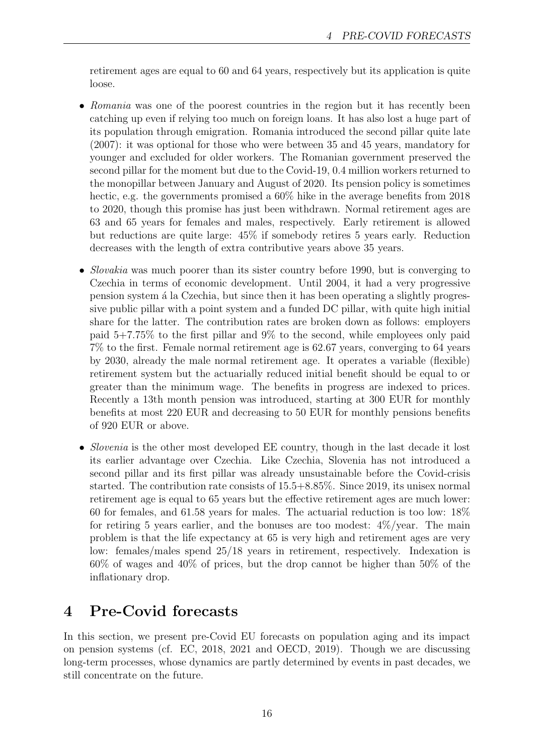retirement ages are equal to 60 and 64 years, respectively but its application is quite loose.

- Romania was one of the poorest countries in the region but it has recently been catching up even if relying too much on foreign loans. It has also lost a huge part of its population through emigration. Romania introduced the second pillar quite late (2007): it was optional for those who were between 35 and 45 years, mandatory for younger and excluded for older workers. The Romanian government preserved the second pillar for the moment but due to the Covid-19, 0.4 million workers returned to the monopillar between January and August of 2020. Its pension policy is sometimes hectic, e.g. the governments promised a  $60\%$  hike in the average benefits from 2018 to 2020, though this promise has just been withdrawn. Normal retirement ages are 63 and 65 years for females and males, respectively. Early retirement is allowed but reductions are quite large: 45% if somebody retires 5 years early. Reduction decreases with the length of extra contributive years above 35 years.
- *Slovakia* was much poorer than its sister country before 1990, but is converging to Czechia in terms of economic development. Until 2004, it had a very progressive pension system ´a la Czechia, but since then it has been operating a slightly progressive public pillar with a point system and a funded DC pillar, with quite high initial share for the latter. The contribution rates are broken down as follows: employers paid 5+7.75% to the first pillar and 9% to the second, while employees only paid 7% to the first. Female normal retirement age is 62.67 years, converging to 64 years by 2030, already the male normal retirement age. It operates a variable (flexible) retirement system but the actuarially reduced initial benefit should be equal to or greater than the minimum wage. The benefits in progress are indexed to prices. Recently a 13th month pension was introduced, starting at 300 EUR for monthly benefits at most 220 EUR and decreasing to 50 EUR for monthly pensions benefits of 920 EUR or above.
- *Slovenia* is the other most developed EE country, though in the last decade it lost its earlier advantage over Czechia. Like Czechia, Slovenia has not introduced a second pillar and its first pillar was already unsustainable before the Covid-crisis started. The contribution rate consists of 15.5+8.85%. Since 2019, its unisex normal retirement age is equal to 65 years but the effective retirement ages are much lower: 60 for females, and 61.58 years for males. The actuarial reduction is too low: 18% for retiring 5 years earlier, and the bonuses are too modest:  $4\%/year$ . The main problem is that the life expectancy at 65 is very high and retirement ages are very low: females/males spend 25/18 years in retirement, respectively. Indexation is 60% of wages and 40% of prices, but the drop cannot be higher than 50% of the inflationary drop.

# 4 Pre-Covid forecasts

In this section, we present pre-Covid EU forecasts on population aging and its impact on pension systems (cf. EC, 2018, 2021 and OECD, 2019). Though we are discussing long-term processes, whose dynamics are partly determined by events in past decades, we still concentrate on the future.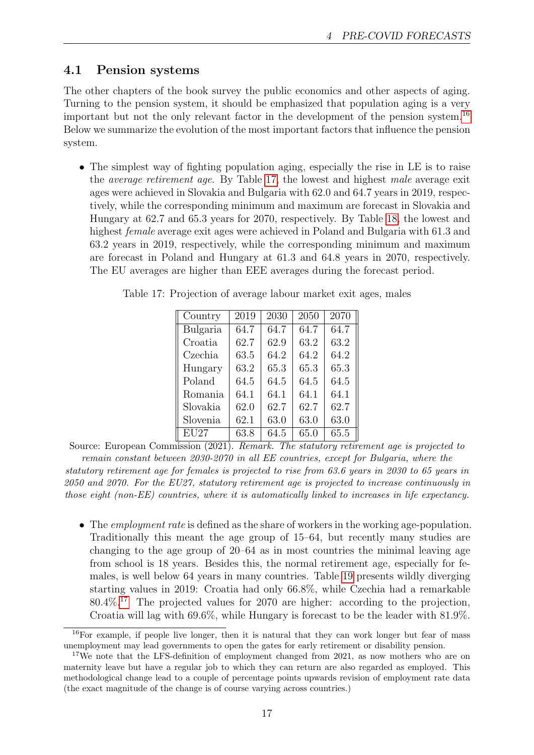### 4.1 Pension systems

The other chapters of the book survey the public economics and other aspects of aging. Turning to the pension system, it should be emphasized that population aging is a very important but not the only relevant factor in the development of the pension system.[16](#page-16-0) Below we summarize the evolution of the most important factors that influence the pension system.

• The simplest way of fighting population aging, especially the rise in LE is to raise the average retirement age. By Table [17,](#page-16-1) the lowest and highest male average exit ages were achieved in Slovakia and Bulgaria with 62.0 and 64.7 years in 2019, respectively, while the corresponding minimum and maximum are forecast in Slovakia and Hungary at 62.7 and 65.3 years for 2070, respectively. By Table [18,](#page-17-0) the lowest and highest female average exit ages were achieved in Poland and Bulgaria with 61.3 and 63.2 years in 2019, respectively, while the corresponding minimum and maximum are forecast in Poland and Hungary at 61.3 and 64.8 years in 2070, respectively. The EU averages are higher than EEE averages during the forecast period.

| Country  | 2019 | 2030 | 2050 | 2070 |  |
|----------|------|------|------|------|--|
| Bulgaria | 64.7 | 64.7 | 64.7 | 64.7 |  |
| Croatia  | 62.7 | 62.9 | 63.2 | 63.2 |  |
| Czechia  | 63.5 | 64.2 | 64.2 | 64.2 |  |
| Hungary  | 63.2 | 65.3 | 65.3 | 65.3 |  |
| Poland   | 64.5 | 64.5 | 64.5 | 64.5 |  |
| Romania  | 64.1 | 64.1 | 64.1 | 64.1 |  |
| Slovakia | 62.0 | 62.7 | 62.7 | 62.7 |  |
| Slovenia | 62.1 | 63.0 | 63.0 | 63.0 |  |
| EU27     | 63.8 | 64.5 | 65.0 | 65.5 |  |

<span id="page-16-1"></span>Table 17: Projection of average labour market exit ages, males

Source: European Commission (2021). Remark. The statutory retirement age is projected to remain constant between 2030-2070 in all EE countries, except for Bulgaria, where the statutory retirement age for females is projected to rise from 63.6 years in 2030 to 65 years in 2050 and 2070. For the EU27, statutory retirement age is projected to increase continuously in those eight (non-EE) countries, where it is automatically linked to increases in life expectancy.

• The *employment rate* is defined as the share of workers in the working age-population. Traditionally this meant the age group of 15–64, but recently many studies are changing to the age group of 20–64 as in most countries the minimal leaving age from school is 18 years. Besides this, the normal retirement age, especially for females, is well below 64 years in many countries. Table [19](#page-17-1) presents wildly diverging starting values in 2019: Croatia had only 66.8%, while Czechia had a remarkable 80.4%.[17](#page-16-2) The projected values for 2070 are higher: according to the projection, Croatia will lag with 69.6%, while Hungary is forecast to be the leader with 81.9%.

<span id="page-16-0"></span><sup>&</sup>lt;sup>16</sup>For example, if people live longer, then it is natural that they can work longer but fear of mass unemployment may lead governments to open the gates for early retirement or disability pension.

<span id="page-16-2"></span><sup>&</sup>lt;sup>17</sup>We note that the LFS-definition of employment changed from 2021, as now mothers who are on maternity leave but have a regular job to which they can return are also regarded as employed. This methodological change lead to a couple of percentage points upwards revision of employment rate data (the exact magnitude of the change is of course varying across countries.)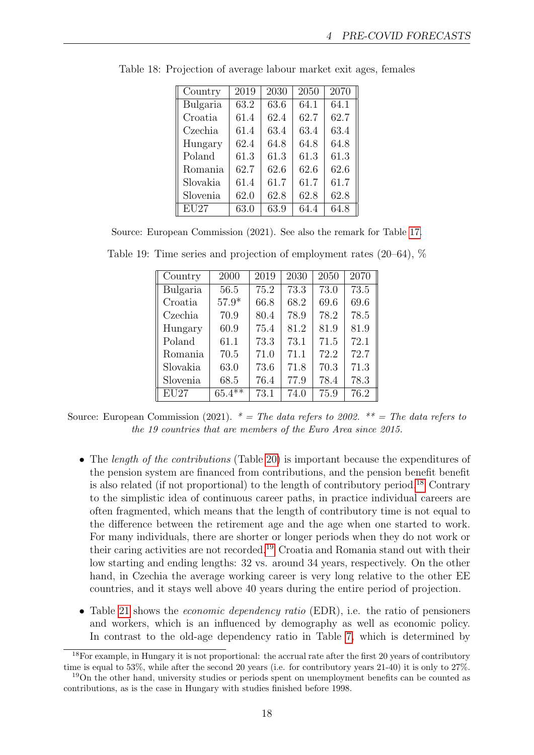| Country  | 2019 | 2030 | 2050 | 2070 |
|----------|------|------|------|------|
| Bulgaria | 63.2 | 63.6 | 64.1 | 64.1 |
| Croatia  | 61.4 | 62.4 | 62.7 | 62.7 |
| Czechia  | 61.4 | 63.4 | 63.4 | 63.4 |
| Hungary  | 62.4 | 64.8 | 64.8 | 64.8 |
| Poland   | 61.3 | 61.3 | 61.3 | 61.3 |
| Romania  | 62.7 | 62.6 | 62.6 | 62.6 |
| Slovakia | 61.4 | 61.7 | 61.7 | 61.7 |
| Slovenia | 62.0 | 62.8 | 62.8 | 62.8 |
| EU27     | 63.0 | 63.9 | 64.4 | 64.8 |

<span id="page-17-0"></span>Table 18: Projection of average labour market exit ages, females

Source: European Commission (2021). See also the remark for Table [17.](#page-16-1)

| Country  | 2000      | 2019 | 2030 | 2050 | 2070 |
|----------|-----------|------|------|------|------|
| Bulgaria | 56.5      | 75.2 | 73.3 | 73.0 | 73.5 |
| Croatia  | $57.9*$   | 66.8 | 68.2 | 69.6 | 69.6 |
| Czechia  | 70.9      | 80.4 | 78.9 | 78.2 | 78.5 |
| Hungary  | 60.9      | 75.4 | 81.2 | 81.9 | 81.9 |
| Poland   | 61.1      | 73.3 | 73.1 | 71.5 | 72.1 |
| Romania  | 70.5      | 71.0 | 71.1 | 72.2 | 72.7 |
| Slovakia | 63.0      | 73.6 | 71.8 | 70.3 | 71.3 |
| Slovenia | 68.5      | 76.4 | 77.9 | 78.4 | 78.3 |
| EU27     | $65.4***$ | 73.1 | 74.0 | 75.9 | 76.2 |

<span id="page-17-1"></span>Table 19: Time series and projection of employment rates (20–64), %

Source: European Commission (2021).  $* = The data refers to 2002$ .  $** = The data refers to 2002$ . the 19 countries that are members of the Euro Area since 2015.

- The *length of the contributions* (Table [20\)](#page-18-0) is important because the expenditures of the pension system are financed from contributions, and the pension benefit benefit is also related (if not proportional) to the length of contributory period.<sup>[18](#page-17-2)</sup> Contrary to the simplistic idea of continuous career paths, in practice individual careers are often fragmented, which means that the length of contributory time is not equal to the difference between the retirement age and the age when one started to work. For many individuals, there are shorter or longer periods when they do not work or their caring activities are not recorded.[19](#page-17-3) Croatia and Romania stand out with their low starting and ending lengths: 32 vs. around 34 years, respectively. On the other hand, in Czechia the average working career is very long relative to the other EE countries, and it stays well above 40 years during the entire period of projection.
- Table [21](#page-18-1) shows the *economic dependency ratio* (EDR), i.e. the ratio of pensioners and workers, which is an influenced by demography as well as economic policy. In contrast to the old-age dependency ratio in Table [7,](#page-5-2) which is determined by

<span id="page-17-2"></span><sup>18</sup>For example, in Hungary it is not proportional: the accrual rate after the first 20 years of contributory time is equal to 53%, while after the second 20 years (i.e. for contributory years 21-40) it is only to 27%.

<span id="page-17-3"></span><sup>&</sup>lt;sup>19</sup>On the other hand, university studies or periods spent on unemployment benefits can be counted as contributions, as is the case in Hungary with studies finished before 1998.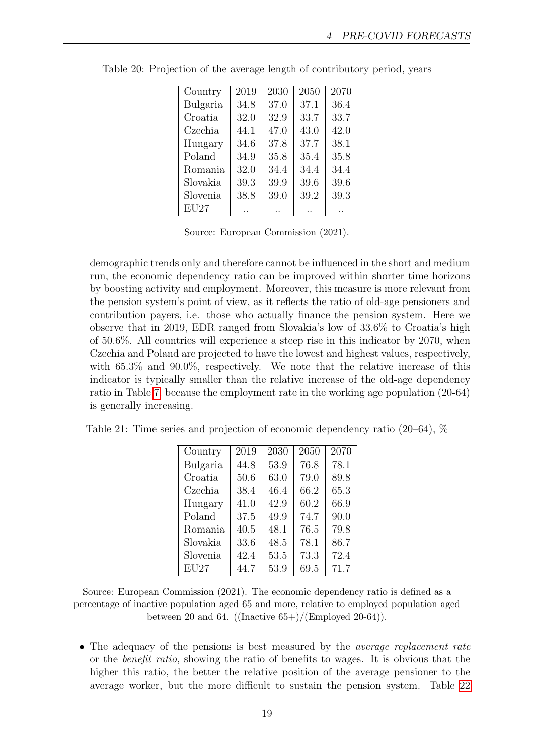| Country  | 2019 | 2030 | 2050 | 2070 |
|----------|------|------|------|------|
| Bulgaria | 34.8 | 37.0 | 37.1 | 36.4 |
| Croatia  | 32.0 | 32.9 | 33.7 | 33.7 |
| Czechia  | 44.1 | 47.0 | 43.0 | 42.0 |
| Hungary  | 34.6 | 37.8 | 37.7 | 38.1 |
| Poland   | 34.9 | 35.8 | 35.4 | 35.8 |
| Romania  | 32.0 | 34.4 | 34.4 | 34.4 |
| Slovakia | 39.3 | 39.9 | 39.6 | 39.6 |
| Slovenia | 38.8 | 39.0 | 39.2 | 39.3 |
| EU27     |      |      |      |      |

<span id="page-18-0"></span>Table 20: Projection of the average length of contributory period, years

Source: European Commission (2021).

demographic trends only and therefore cannot be influenced in the short and medium run, the economic dependency ratio can be improved within shorter time horizons by boosting activity and employment. Moreover, this measure is more relevant from the pension system's point of view, as it reflects the ratio of old-age pensioners and contribution payers, i.e. those who actually finance the pension system. Here we observe that in 2019, EDR ranged from Slovakia's low of 33.6% to Croatia's high of 50.6%. All countries will experience a steep rise in this indicator by 2070, when Czechia and Poland are projected to have the lowest and highest values, respectively, with  $65.3\%$  and  $90.0\%$ , respectively. We note that the relative increase of this indicator is typically smaller than the relative increase of the old-age dependency ratio in Table [7,](#page-5-2) because the employment rate in the working age population (20-64) is generally increasing.

<span id="page-18-1"></span>Table 21: Time series and projection of economic dependency ratio (20–64), %

| Country  | 2019 | 2030 | 2050 | 2070 |
|----------|------|------|------|------|
| Bulgaria | 44.8 | 53.9 | 76.8 | 78.1 |
| Croatia  | 50.6 | 63.0 | 79.0 | 89.8 |
| Czechia  | 38.4 | 46.4 | 66.2 | 65.3 |
| Hungary  | 41.0 | 42.9 | 60.2 | 66.9 |
| Poland   | 37.5 | 49.9 | 74.7 | 90.0 |
| Romania  | 40.5 | 48.1 | 76.5 | 79.8 |
| Slovakia | 33.6 | 48.5 | 78.1 | 86.7 |
| Slovenia | 42.4 | 53.5 | 73.3 | 72.4 |
| EU27     | 44.7 | 53.9 | 69.5 | 71.7 |

Source: European Commission (2021). The economic dependency ratio is defined as a percentage of inactive population aged 65 and more, relative to employed population aged between 20 and 64. ((Inactive  $65+$ )/(Employed 20-64)).

• The adequacy of the pensions is best measured by the *average replacement rate* or the benefit ratio, showing the ratio of benefits to wages. It is obvious that the higher this ratio, the better the relative position of the average pensioner to the average worker, but the more difficult to sustain the pension system. Table [22](#page-19-0)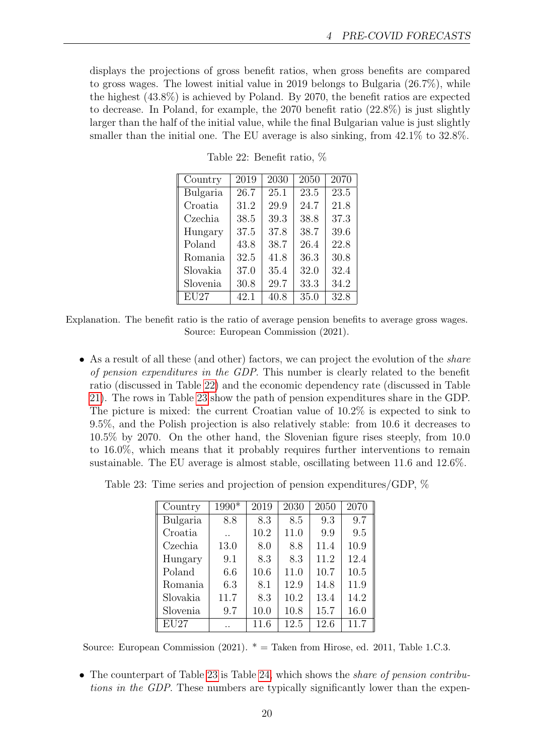<span id="page-19-0"></span>displays the projections of gross benefit ratios, when gross benefits are compared to gross wages. The lowest initial value in 2019 belongs to Bulgaria (26.7%), while the highest (43.8%) is achieved by Poland. By 2070, the benefit ratios are expected to decrease. In Poland, for example, the 2070 benefit ratio (22.8%) is just slightly larger than the half of the initial value, while the final Bulgarian value is just slightly smaller than the initial one. The EU average is also sinking, from 42.1% to 32.8%.

| Country  | 2019 | 2030 | 2050 | 2070 |
|----------|------|------|------|------|
| Bulgaria | 26.7 | 25.1 | 23.5 | 23.5 |
| Croatia  | 31.2 | 29.9 | 24.7 | 21.8 |
| Czechia  | 38.5 | 39.3 | 38.8 | 37.3 |
| Hungary  | 37.5 | 37.8 | 38.7 | 39.6 |
| Poland   | 43.8 | 38.7 | 26.4 | 22.8 |
| Romania  | 32.5 | 41.8 | 36.3 | 30.8 |
| Slovakia | 37.0 | 35.4 | 32.0 | 32.4 |
| Slovenia | 30.8 | 29.7 | 33.3 | 34.2 |
| EU27     | 42.1 | 40.8 | 35.0 | 32.8 |

Table 22: Benefit ratio, %

Explanation. The benefit ratio is the ratio of average pension benefits to average gross wages. Source: European Commission (2021).

• As a result of all these (and other) factors, we can project the evolution of the *share* of pension expenditures in the GDP. This number is clearly related to the benefit ratio (discussed in Table [22\)](#page-19-0) and the economic dependency rate (discussed in Table [21\)](#page-18-1). The rows in Table [23](#page-19-1) show the path of pension expenditures share in the GDP. The picture is mixed: the current Croatian value of 10.2% is expected to sink to 9.5%, and the Polish projection is also relatively stable: from 10.6 it decreases to 10.5% by 2070. On the other hand, the Slovenian figure rises steeply, from 10.0 to 16.0%, which means that it probably requires further interventions to remain sustainable. The EU average is almost stable, oscillating between 11.6 and 12.6%.

<span id="page-19-1"></span>Table 23: Time series and projection of pension expenditures/GDP, %

| Country  | 1990* | 2019 | 2030 | 2050 | 2070 |
|----------|-------|------|------|------|------|
| Bulgaria | 8.8   | 8.3  | 8.5  | 9.3  | 9.7  |
| Croatia  |       | 10.2 | 11.0 | 9.9  | 9.5  |
| Czechia  | 13.0  | 8.0  | 8.8  | 11.4 | 10.9 |
| Hungary  | 9.1   | 8.3  | 8.3  | 11.2 | 12.4 |
| Poland   | 6.6   | 10.6 | 11.0 | 10.7 | 10.5 |
| Romania  | 6.3   | 8.1  | 12.9 | 14.8 | 11.9 |
| Slovakia | 11.7  | 8.3  | 10.2 | 13.4 | 14.2 |
| Slovenia | 9.7   | 10.0 | 10.8 | 15.7 | 16.0 |
| EU27     |       | 11.6 | 12.5 | 12.6 | 11.7 |

Source: European Commission (2021).  $* =$  Taken from Hirose, ed. 2011, Table 1.C.3.

• The counterpart of Table [23](#page-19-1) is Table [24,](#page-20-0) which shows the *share of pension contribu*tions in the GDP. These numbers are typically significantly lower than the expen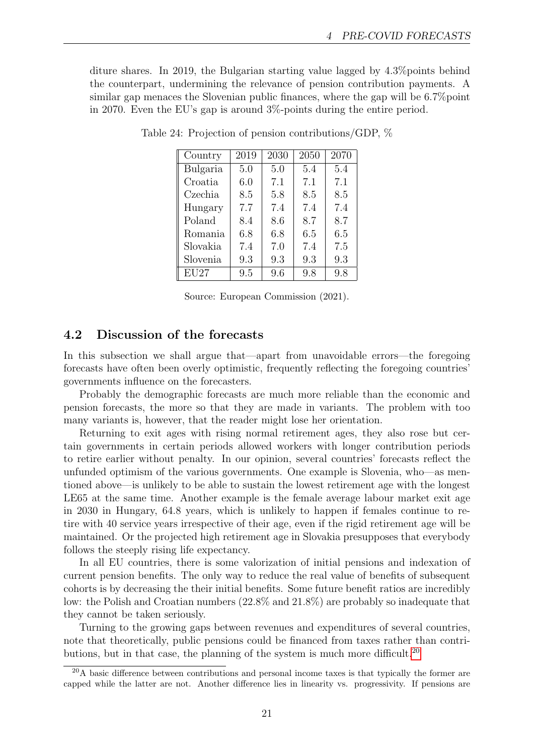<span id="page-20-0"></span>diture shares. In 2019, the Bulgarian starting value lagged by 4.3%points behind the counterpart, undermining the relevance of pension contribution payments. A similar gap menaces the Slovenian public finances, where the gap will be 6.7%point in 2070. Even the EU's gap is around 3%-points during the entire period.

| Country           | 2019 | 2030 | 2050 | 2070 |
|-------------------|------|------|------|------|
| Bulgaria          | 5.0  | 5.0  | 5.4  | 5.4  |
| Croatia           | 6.0  | 7.1  | 7.1  | 7.1  |
| Czechia           | 8.5  | 5.8  | 8.5  | 8.5  |
| Hungary           | 7.7  | 7.4  | 7.4  | 7.4  |
| Poland            | 8.4  | 8.6  | 8.7  | 8.7  |
| Romania           | 6.8  | 6.8  | 6.5  | 6.5  |
| Slovakia          | 7.4  | 7.0  | 7.4  | 7.5  |
| Slovenia          | 9.3  | 9.3  | 9.3  | 9.3  |
| $\overline{EU}27$ | 9.5  | 9.6  | 9.8  | 9.8  |

Table 24: Projection of pension contributions/GDP, %

Source: European Commission (2021).

#### 4.2 Discussion of the forecasts

In this subsection we shall argue that—apart from unavoidable errors—the foregoing forecasts have often been overly optimistic, frequently reflecting the foregoing countries' governments influence on the forecasters.

Probably the demographic forecasts are much more reliable than the economic and pension forecasts, the more so that they are made in variants. The problem with too many variants is, however, that the reader might lose her orientation.

Returning to exit ages with rising normal retirement ages, they also rose but certain governments in certain periods allowed workers with longer contribution periods to retire earlier without penalty. In our opinion, several countries' forecasts reflect the unfunded optimism of the various governments. One example is Slovenia, who—as mentioned above—is unlikely to be able to sustain the lowest retirement age with the longest LE65 at the same time. Another example is the female average labour market exit age in 2030 in Hungary, 64.8 years, which is unlikely to happen if females continue to retire with 40 service years irrespective of their age, even if the rigid retirement age will be maintained. Or the projected high retirement age in Slovakia presupposes that everybody follows the steeply rising life expectancy.

In all EU countries, there is some valorization of initial pensions and indexation of current pension benefits. The only way to reduce the real value of benefits of subsequent cohorts is by decreasing the their initial benefits. Some future benefit ratios are incredibly low: the Polish and Croatian numbers (22.8% and 21.8%) are probably so inadequate that they cannot be taken seriously.

Turning to the growing gaps between revenues and expenditures of several countries, note that theoretically, public pensions could be financed from taxes rather than contri-butions, but in that case, the planning of the system is much more difficult.<sup>[20](#page-20-1)</sup>

<span id="page-20-1"></span><sup>&</sup>lt;sup>20</sup>A basic difference between contributions and personal income taxes is that typically the former are capped while the latter are not. Another difference lies in linearity vs. progressivity. If pensions are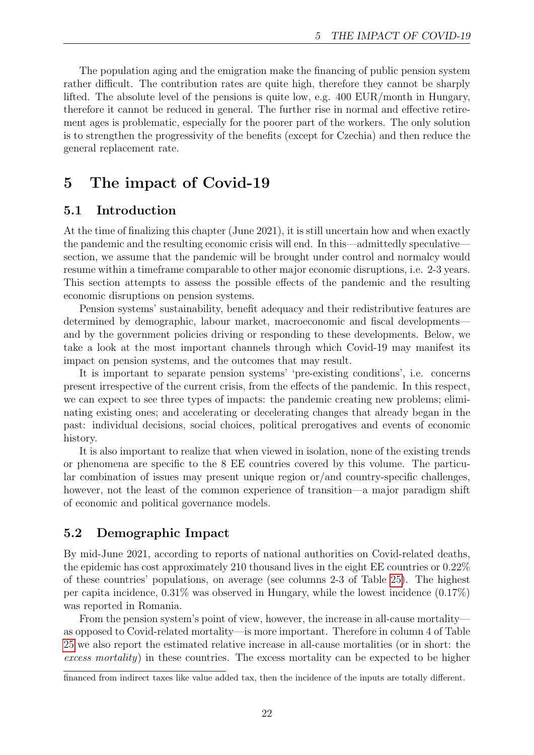The population aging and the emigration make the financing of public pension system rather difficult. The contribution rates are quite high, therefore they cannot be sharply lifted. The absolute level of the pensions is quite low, e.g. 400 EUR/month in Hungary, therefore it cannot be reduced in general. The further rise in normal and effective retirement ages is problematic, especially for the poorer part of the workers. The only solution is to strengthen the progressivity of the benefits (except for Czechia) and then reduce the general replacement rate.

# 5 The impact of Covid-19

### 5.1 Introduction

At the time of finalizing this chapter (June 2021), it is still uncertain how and when exactly the pandemic and the resulting economic crisis will end. In this—admittedly speculative section, we assume that the pandemic will be brought under control and normalcy would resume within a timeframe comparable to other major economic disruptions, i.e. 2-3 years. This section attempts to assess the possible effects of the pandemic and the resulting economic disruptions on pension systems.

Pension systems' sustainability, benefit adequacy and their redistributive features are determined by demographic, labour market, macroeconomic and fiscal developments and by the government policies driving or responding to these developments. Below, we take a look at the most important channels through which Covid-19 may manifest its impact on pension systems, and the outcomes that may result.

It is important to separate pension systems' 'pre-existing conditions', i.e. concerns present irrespective of the current crisis, from the effects of the pandemic. In this respect, we can expect to see three types of impacts: the pandemic creating new problems; eliminating existing ones; and accelerating or decelerating changes that already began in the past: individual decisions, social choices, political prerogatives and events of economic history.

It is also important to realize that when viewed in isolation, none of the existing trends or phenomena are specific to the 8 EE countries covered by this volume. The particular combination of issues may present unique region or/and country-specific challenges, however, not the least of the common experience of transition—a major paradigm shift of economic and political governance models.

### 5.2 Demographic Impact

By mid-June 2021, according to reports of national authorities on Covid-related deaths, the epidemic has cost approximately 210 thousand lives in the eight EE countries or 0.22% of these countries' populations, on average (see columns 2-3 of Table [25\)](#page-22-0). The highest per capita incidence, 0.31% was observed in Hungary, while the lowest incidence (0.17%) was reported in Romania.

From the pension system's point of view, however, the increase in all-cause mortality as opposed to Covid-related mortality—is more important. Therefore in column 4 of Table [25](#page-22-0) we also report the estimated relative increase in all-cause mortalities (or in short: the excess mortality) in these countries. The excess mortality can be expected to be higher

financed from indirect taxes like value added tax, then the incidence of the inputs are totally different.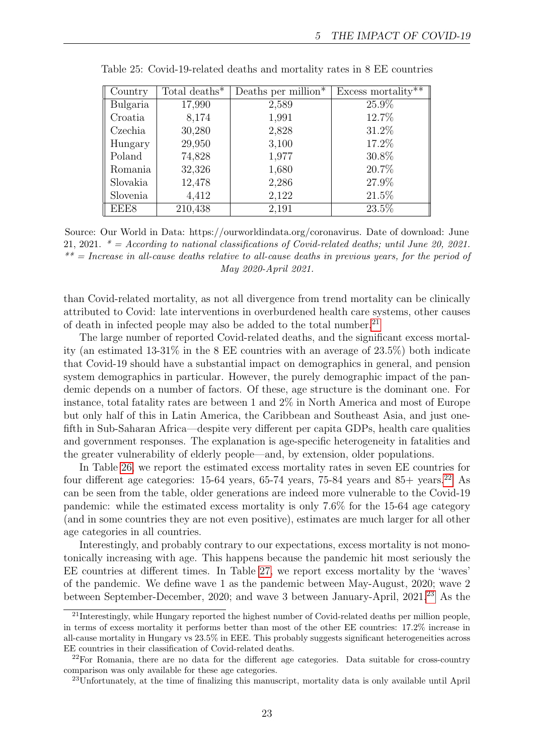| Country  | Total deaths* | Deaths per million $*$ | Excess mortality $\overline{**}$ |
|----------|---------------|------------------------|----------------------------------|
| Bulgaria | 17,990        | 2,589                  | 25.9%                            |
| Croatia  | 8,174         | 1,991                  | 12.7%                            |
| Czechia  | 30,280        | 2,828                  | 31.2%                            |
| Hungary  | 29,950        | 3,100                  | 17.2%                            |
| Poland   | 74,828        | 1,977                  | 30.8%                            |
| Romania  | 32,326        | 1,680                  | 20.7%                            |
| Slovakia | 12,478        | 2,286                  | 27.9%                            |
| Slovenia | 4,412         | 2,122                  | 21.5%                            |
| EEE8     | 210,438       | 2,191                  | 23.5%                            |

<span id="page-22-0"></span>Table 25: Covid-19-related deaths and mortality rates in 8 EE countries

Source: Our World in Data: https://ourworldindata.org/coronavirus. Date of download: June 21, 2021.  $* = According to national classifications of Covid-related deaths; until June 20, 2021.$  $** = Increase in all-cause deaths relative to all-cause deaths in previous years, for the period of$ May 2020-April 2021.

than Covid-related mortality, as not all divergence from trend mortality can be clinically attributed to Covid: late interventions in overburdened health care systems, other causes of death in infected people may also be added to the total number.<sup>[21](#page-22-1)</sup>

The large number of reported Covid-related deaths, and the significant excess mortality (an estimated 13-31% in the 8 EE countries with an average of 23.5%) both indicate that Covid-19 should have a substantial impact on demographics in general, and pension system demographics in particular. However, the purely demographic impact of the pandemic depends on a number of factors. Of these, age structure is the dominant one. For instance, total fatality rates are between 1 and 2% in North America and most of Europe but only half of this in Latin America, the Caribbean and Southeast Asia, and just onefifth in Sub-Saharan Africa—despite very different per capita GDPs, health care qualities and government responses. The explanation is age-specific heterogeneity in fatalities and the greater vulnerability of elderly people—and, by extension, older populations.

In Table [26,](#page-23-0) we report the estimated excess mortality rates in seven EE countries for four different age categories: 15-64 years, 65-74 years, 75-84 years and  $85+$  years.<sup>[22](#page-22-2)</sup> As can be seen from the table, older generations are indeed more vulnerable to the Covid-19 pandemic: while the estimated excess mortality is only 7.6% for the 15-64 age category (and in some countries they are not even positive), estimates are much larger for all other age categories in all countries.

Interestingly, and probably contrary to our expectations, excess mortality is not monotonically increasing with age. This happens because the pandemic hit most seriously the EE countries at different times. In Table [27,](#page-23-1) we report excess mortality by the 'waves' of the pandemic. We define wave 1 as the pandemic between May-August, 2020; wave 2 between September-December, 2020; and wave 3 between January-April, 2021.[23](#page-22-3) As the

<span id="page-22-1"></span><sup>21</sup>Interestingly, while Hungary reported the highest number of Covid-related deaths per million people, in terms of excess mortality it performs better than most of the other EE countries: 17.2% increase in all-cause mortality in Hungary vs 23.5% in EEE. This probably suggests significant heterogeneities across EE countries in their classification of Covid-related deaths.

<span id="page-22-2"></span><sup>22</sup>For Romania, there are no data for the different age categories. Data suitable for cross-country comparison was only available for these age categories.

<span id="page-22-3"></span><sup>23</sup>Unfortunately, at the time of finalizing this manuscript, mortality data is only available until April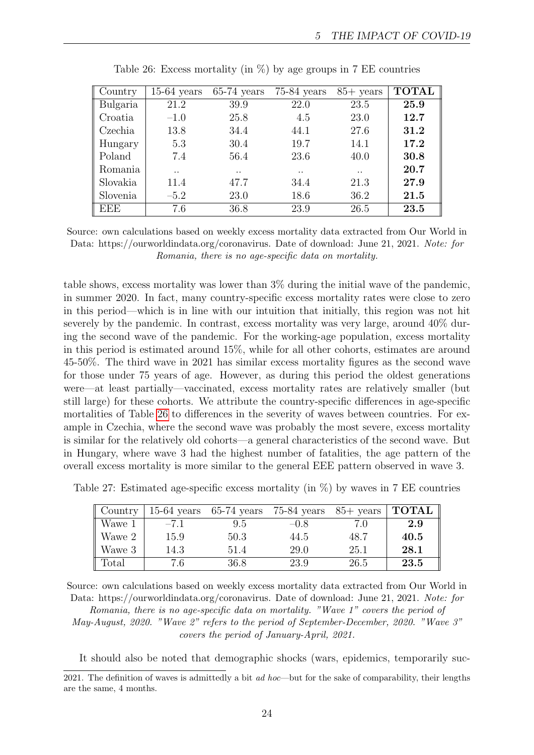<span id="page-23-0"></span>

| Country    | $15-64$ years | $65-74$ years | $75-84$ years        | $85+$ years          | <b>TOTAL</b> |
|------------|---------------|---------------|----------------------|----------------------|--------------|
| Bulgaria   | 21.2          | 39.9          | 22.0                 | 23.5                 | 25.9         |
| Croatia    | $-1.0$        | 25.8          | 4.5                  | 23.0                 | 12.7         |
| Czechia    | 13.8          | 34.4          | 44.1                 | 27.6                 | 31.2         |
| Hungary    | 5.3           | 30.4          | 19.7                 | 14.1                 | 17.2         |
| Poland     | 7.4           | 56.4          | 23.6                 | 40.0                 | 30.8         |
| Romania    | . .           | $\cdot$ .     | $\ddot{\phantom{0}}$ | $\ddot{\phantom{0}}$ | 20.7         |
| Slovakia   | 11.4          | 47.7          | 34.4                 | 21.3                 | 27.9         |
| Slovenia   | $-5.2$        | 23.0          | 18.6                 | 36.2                 | 21.5         |
| <b>EEE</b> | 7.6           | 36.8          | 23.9                 | 26.5                 | 23.5         |

Table 26: Excess mortality (in  $\%$ ) by age groups in 7 EE countries

Source: own calculations based on weekly excess mortality data extracted from Our World in Data: https://ourworldindata.org/coronavirus. Date of download: June 21, 2021. Note: for Romania, there is no age-specific data on mortality.

table shows, excess mortality was lower than 3% during the initial wave of the pandemic, in summer 2020. In fact, many country-specific excess mortality rates were close to zero in this period—which is in line with our intuition that initially, this region was not hit severely by the pandemic. In contrast, excess mortality was very large, around 40% during the second wave of the pandemic. For the working-age population, excess mortality in this period is estimated around 15%, while for all other cohorts, estimates are around 45-50%. The third wave in 2021 has similar excess mortality figures as the second wave for those under 75 years of age. However, as during this period the oldest generations were—at least partially—vaccinated, excess mortality rates are relatively smaller (but still large) for these cohorts. We attribute the country-specific differences in age-specific mortalities of Table [26](#page-23-0) to differences in the severity of waves between countries. For example in Czechia, where the second wave was probably the most severe, excess mortality is similar for the relatively old cohorts—a general characteristics of the second wave. But in Hungary, where wave 3 had the highest number of fatalities, the age pattern of the overall excess mortality is more similar to the general EEE pattern observed in wave 3.

<span id="page-23-1"></span>Table 27: Estimated age-specific excess mortality (in %) by waves in 7 EE countries

| $\parallel$ Country |        | $15-64$ years 65-74 years | $75-84$ years | $85+$ years | <b>TOTAL</b> |
|---------------------|--------|---------------------------|---------------|-------------|--------------|
| Wawe 1              | $-7.1$ | 9.5                       | $-0.8$        | 7.0         | 2.9          |
| $\parallel$ Wawe 2  | 15.9   | 50.3                      | 44.5          | 48.7        | 40.5         |
| Wawe 3              | 14.3   | 51.4                      | 29.0          | 25.1        | 28.1         |
| Total               | 7.6    | 36.8                      | 23.9          | 26.5        | 23.5         |

Source: own calculations based on weekly excess mortality data extracted from Our World in Data: https://ourworldindata.org/coronavirus. Date of download: June 21, 2021. Note: for Romania, there is no age-specific data on mortality. "Wave 1" covers the period of May-August, 2020. "Wave 2" refers to the period of September-December, 2020. "Wave 3" covers the period of January-April, 2021.

It should also be noted that demographic shocks (wars, epidemics, temporarily suc-

<sup>2021.</sup> The definition of waves is admittedly a bit ad hoc—but for the sake of comparability, their lengths are the same, 4 months.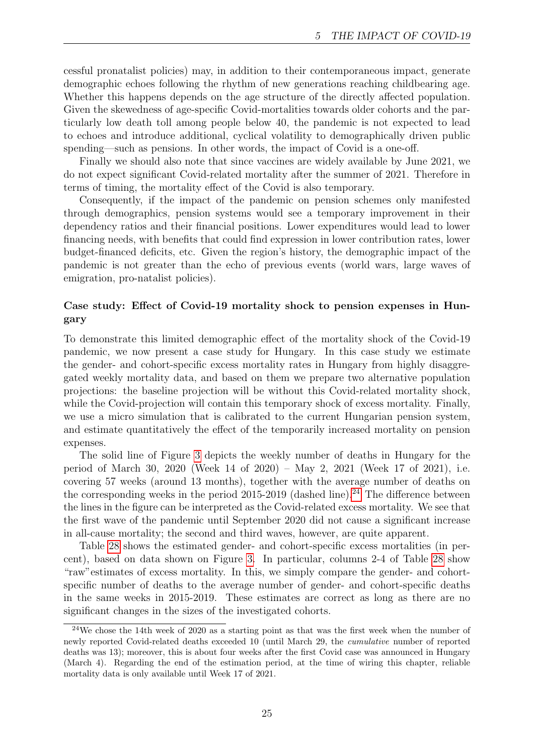cessful pronatalist policies) may, in addition to their contemporaneous impact, generate demographic echoes following the rhythm of new generations reaching childbearing age. Whether this happens depends on the age structure of the directly affected population. Given the skewedness of age-specific Covid-mortalities towards older cohorts and the particularly low death toll among people below 40, the pandemic is not expected to lead to echoes and introduce additional, cyclical volatility to demographically driven public spending—such as pensions. In other words, the impact of Covid is a one-off.

Finally we should also note that since vaccines are widely available by June 2021, we do not expect significant Covid-related mortality after the summer of 2021. Therefore in terms of timing, the mortality effect of the Covid is also temporary.

Consequently, if the impact of the pandemic on pension schemes only manifested through demographics, pension systems would see a temporary improvement in their dependency ratios and their financial positions. Lower expenditures would lead to lower financing needs, with benefits that could find expression in lower contribution rates, lower budget-financed deficits, etc. Given the region's history, the demographic impact of the pandemic is not greater than the echo of previous events (world wars, large waves of emigration, pro-natalist policies).

#### Case study: Effect of Covid-19 mortality shock to pension expenses in Hungary

To demonstrate this limited demographic effect of the mortality shock of the Covid-19 pandemic, we now present a case study for Hungary. In this case study we estimate the gender- and cohort-specific excess mortality rates in Hungary from highly disaggregated weekly mortality data, and based on them we prepare two alternative population projections: the baseline projection will be without this Covid-related mortality shock, while the Covid-projection will contain this temporary shock of excess mortality. Finally, we use a micro simulation that is calibrated to the current Hungarian pension system, and estimate quantitatively the effect of the temporarily increased mortality on pension expenses.

The solid line of Figure [3](#page-25-0) depicts the weekly number of deaths in Hungary for the period of March 30, 2020 (Week 14 of 2020) – May 2, 2021 (Week 17 of 2021), i.e. covering 57 weeks (around 13 months), together with the average number of deaths on the corresponding weeks in the period  $2015$ -2019 (dashed line).<sup>[24](#page-24-0)</sup> The difference between the lines in the figure can be interpreted as the Covid-related excess mortality. We see that the first wave of the pandemic until September 2020 did not cause a significant increase in all-cause mortality; the second and third waves, however, are quite apparent.

Table [28](#page-26-0) shows the estimated gender- and cohort-specific excess mortalities (in percent), based on data shown on Figure [3.](#page-25-0) In particular, columns 2-4 of Table [28](#page-26-0) show "raw"estimates of excess mortality. In this, we simply compare the gender- and cohortspecific number of deaths to the average number of gender- and cohort-specific deaths in the same weeks in 2015-2019. These estimates are correct as long as there are no significant changes in the sizes of the investigated cohorts.

<span id="page-24-0"></span><sup>&</sup>lt;sup>24</sup>We chose the 14th week of 2020 as a starting point as that was the first week when the number of newly reported Covid-related deaths exceeded 10 (until March 29, the cumulative number of reported deaths was 13); moreover, this is about four weeks after the first Covid case was announced in Hungary (March 4). Regarding the end of the estimation period, at the time of wiring this chapter, reliable mortality data is only available until Week 17 of 2021.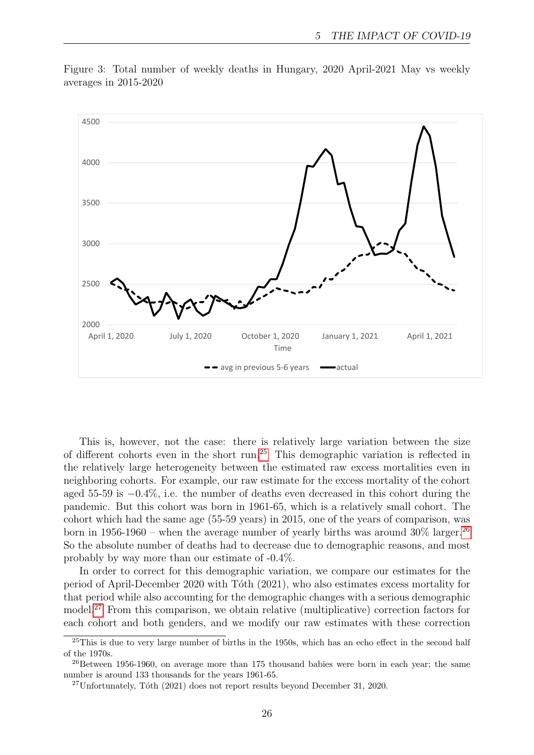

<span id="page-25-0"></span>Figure 3: Total number of weekly deaths in Hungary, 2020 April-2021 May vs weekly averages in 2015-2020

This is, however, not the case: there is relatively large variation between the size of different cohorts even in the short run.[25](#page-25-1) This demographic variation is reflected in the relatively large heterogeneity between the estimated raw excess mortalities even in neighboring cohorts. For example, our raw estimate for the excess mortality of the cohort aged 55-59 is −0.4%, i.e. the number of deaths even decreased in this cohort during the pandemic. But this cohort was born in 1961-65, which is a relatively small cohort. The cohort which had the same age (55-59 years) in 2015, one of the years of comparison, was born in 1956-1960 – when the average number of yearly births was around  $30\%$  larger.<sup>[26](#page-25-2)</sup> So the absolute number of deaths had to decrease due to demographic reasons, and most probably by way more than our estimate of -0.4%.

In order to correct for this demographic variation, we compare our estimates for the period of April-December 2020 with Tóth (2021), who also estimates excess mortality for that period while also accounting for the demographic changes with a serious demographic model.[27](#page-25-3) From this comparison, we obtain relative (multiplicative) correction factors for each cohort and both genders, and we modify our raw estimates with these correction

<span id="page-25-1"></span><sup>&</sup>lt;sup>25</sup>This is due to very large number of births in the 1950s, which has an echo effect in the second half of the 1970s.

<span id="page-25-2"></span><sup>&</sup>lt;sup>26</sup>Between 1956-1960, on average more than 175 thousand babies were born in each year; the same number is around 133 thousands for the years 1961-65.

<span id="page-25-3"></span> $^{27}$ Unfortunately, Tóth (2021) does not report results beyond December 31, 2020.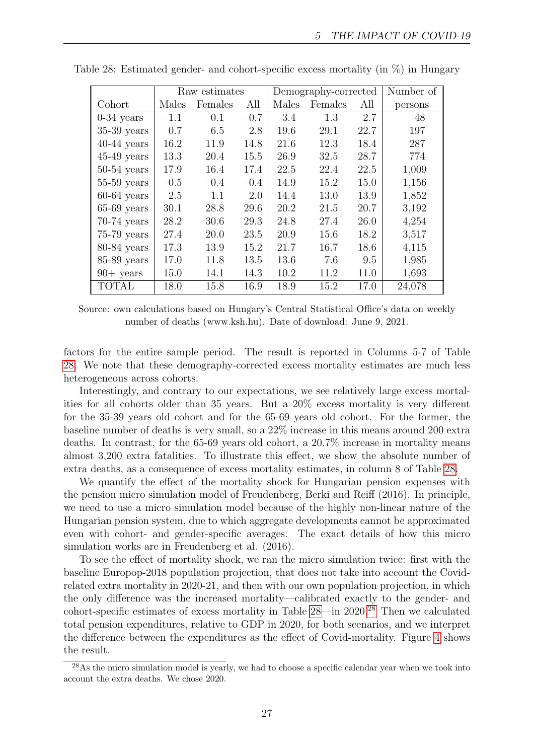|               | Raw estimates |         | Demography-corrected |       |         | Number of |         |
|---------------|---------------|---------|----------------------|-------|---------|-----------|---------|
| Cohort        | Males         | Females | All                  | Males | Females | All       | persons |
| $0-34$ years  | $-1.1$        | 0.1     | $-0.7$               | 3.4   | 1.3     | 2.7       | 48      |
| $35-39$ years | 0.7           | 6.5     | 2.8                  | 19.6  | 29.1    | 22.7      | 197     |
| $40-44$ years | 16.2          | 11.9    | 14.8                 | 21.6  | 12.3    | 18.4      | 287     |
| $45-49$ years | 13.3          | 20.4    | 15.5                 | 26.9  | 32.5    | 28.7      | 774     |
| $50-54$ years | 17.9          | 16.4    | 17.4                 | 22.5  | 22.4    | 22.5      | 1,009   |
| $55-59$ years | $-0.5$        | $-0.4$  | $-0.4$               | 14.9  | 15.2    | 15.0      | 1,156   |
| $60-64$ years | 2.5           | 1.1     | 2.0                  | 14.4  | 13.0    | 13.9      | 1,852   |
| $65-69$ years | 30.1          | 28.8    | 29.6                 | 20.2  | 21.5    | 20.7      | 3,192   |
| $70-74$ years | 28.2          | 30.6    | 29.3                 | 24.8  | 27.4    | 26.0      | 4,254   |
| $75-79$ years | 27.4          | 20.0    | 23.5                 | 20.9  | 15.6    | 18.2      | 3,517   |
| $80-84$ years | 17.3          | 13.9    | 15.2                 | 21.7  | 16.7    | 18.6      | 4,115   |
| $85-89$ years | 17.0          | 11.8    | 13.5                 | 13.6  | 7.6     | 9.5       | 1,985   |
| $90+$ years   | 15.0          | 14.1    | 14.3                 | 10.2  | 11.2    | 11.0      | 1,693   |
| <b>TOTAL</b>  | 18.0          | 15.8    | 16.9                 | 18.9  | 15.2    | 17.0      | 24,078  |

<span id="page-26-0"></span>Table 28: Estimated gender- and cohort-specific excess mortality (in %) in Hungary

Source: own calculations based on Hungary's Central Statistical Office's data on weekly number of deaths (www.ksh.hu). Date of download: June 9, 2021.

factors for the entire sample period. The result is reported in Columns 5-7 of Table [28.](#page-26-0) We note that these demography-corrected excess mortality estimates are much less heterogeneous across cohorts.

Interestingly, and contrary to our expectations, we see relatively large excess mortalities for all cohorts older than 35 years. But a 20% excess mortality is very different for the 35-39 years old cohort and for the 65-69 years old cohort. For the former, the baseline number of deaths is very small, so a 22% increase in this means around 200 extra deaths. In contrast, for the 65-69 years old cohort, a 20.7% increase in mortality means almost 3,200 extra fatalities. To illustrate this effect, we show the absolute number of extra deaths, as a consequence of excess mortality estimates, in column 8 of Table [28.](#page-26-0)

We quantify the effect of the mortality shock for Hungarian pension expenses with the pension micro simulation model of Freudenberg, Berki and Reiff (2016). In principle, we need to use a micro simulation model because of the highly non-linear nature of the Hungarian pension system, due to which aggregate developments cannot be approximated even with cohort- and gender-specific averages. The exact details of how this micro simulation works are in Freudenberg et al. (2016).

To see the effect of mortality shock, we ran the micro simulation twice: first with the baseline Europop-2018 population projection, that does not take into account the Covidrelated extra mortality in 2020-21, and then with our own population projection, in which the only difference was the increased mortality—calibrated exactly to the gender- and cohort-specific estimates of excess mortality in Table  $28$ —in 2020.<sup>28</sup> Then we calculated total pension expenditures, relative to GDP in 2020, for both scenarios, and we interpret the difference between the expenditures as the effect of Covid-mortality. Figure [4](#page-27-0) shows the result.

<span id="page-26-1"></span><sup>&</sup>lt;sup>28</sup>As the micro simulation model is yearly, we had to choose a specific calendar year when we took into account the extra deaths. We chose 2020.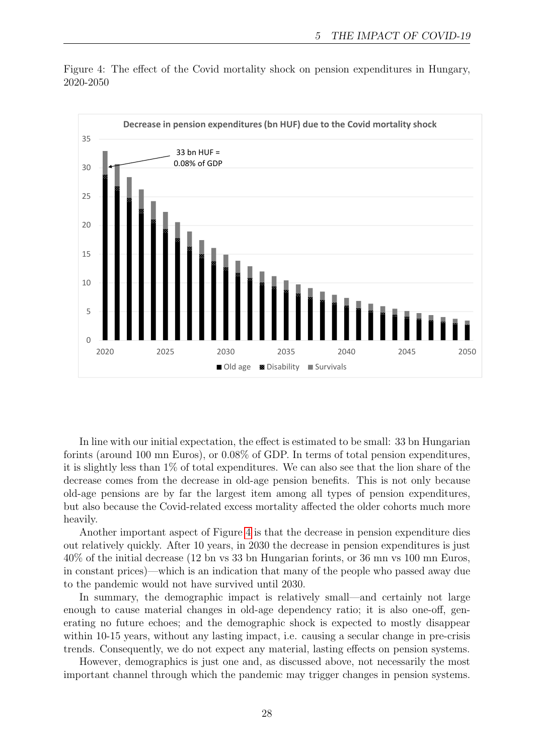

<span id="page-27-0"></span>Figure 4: The effect of the Covid mortality shock on pension expenditures in Hungary, 2020-2050

In line with our initial expectation, the effect is estimated to be small: 33 bn Hungarian forints (around 100 mn Euros), or 0.08% of GDP. In terms of total pension expenditures, it is slightly less than 1% of total expenditures. We can also see that the lion share of the decrease comes from the decrease in old-age pension benefits. This is not only because old-age pensions are by far the largest item among all types of pension expenditures, but also because the Covid-related excess mortality affected the older cohorts much more heavily.

Another important aspect of Figure [4](#page-27-0) is that the decrease in pension expenditure dies out relatively quickly. After 10 years, in 2030 the decrease in pension expenditures is just 40% of the initial decrease (12 bn vs 33 bn Hungarian forints, or 36 mn vs 100 mn Euros, in constant prices)—which is an indication that many of the people who passed away due to the pandemic would not have survived until 2030.

In summary, the demographic impact is relatively small—and certainly not large enough to cause material changes in old-age dependency ratio; it is also one-off, generating no future echoes; and the demographic shock is expected to mostly disappear within 10-15 years, without any lasting impact, i.e. causing a secular change in pre-crisis trends. Consequently, we do not expect any material, lasting effects on pension systems.

However, demographics is just one and, as discussed above, not necessarily the most important channel through which the pandemic may trigger changes in pension systems.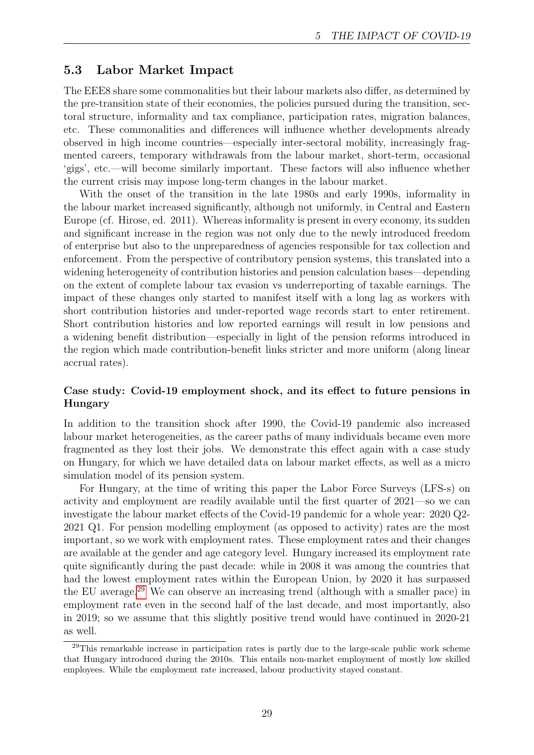### 5.3 Labor Market Impact

The EEE8 share some commonalities but their labour markets also differ, as determined by the pre-transition state of their economies, the policies pursued during the transition, sectoral structure, informality and tax compliance, participation rates, migration balances, etc. These commonalities and differences will influence whether developments already observed in high income countries—especially inter-sectoral mobility, increasingly fragmented careers, temporary withdrawals from the labour market, short-term, occasional 'gigs', etc.—will become similarly important. These factors will also influence whether the current crisis may impose long-term changes in the labour market.

With the onset of the transition in the late 1980s and early 1990s, informality in the labour market increased significantly, although not uniformly, in Central and Eastern Europe (cf. Hirose, ed. 2011). Whereas informality is present in every economy, its sudden and significant increase in the region was not only due to the newly introduced freedom of enterprise but also to the unpreparedness of agencies responsible for tax collection and enforcement. From the perspective of contributory pension systems, this translated into a widening heterogeneity of contribution histories and pension calculation bases—depending on the extent of complete labour tax evasion vs underreporting of taxable earnings. The impact of these changes only started to manifest itself with a long lag as workers with short contribution histories and under-reported wage records start to enter retirement. Short contribution histories and low reported earnings will result in low pensions and a widening benefit distribution—especially in light of the pension reforms introduced in the region which made contribution-benefit links stricter and more uniform (along linear accrual rates).

#### Case study: Covid-19 employment shock, and its effect to future pensions in Hungary

In addition to the transition shock after 1990, the Covid-19 pandemic also increased labour market heterogeneities, as the career paths of many individuals became even more fragmented as they lost their jobs. We demonstrate this effect again with a case study on Hungary, for which we have detailed data on labour market effects, as well as a micro simulation model of its pension system.

For Hungary, at the time of writing this paper the Labor Force Surveys (LFS-s) on activity and employment are readily available until the first quarter of 2021—so we can investigate the labour market effects of the Covid-19 pandemic for a whole year: 2020 Q2- 2021 Q1. For pension modelling employment (as opposed to activity) rates are the most important, so we work with employment rates. These employment rates and their changes are available at the gender and age category level. Hungary increased its employment rate quite significantly during the past decade: while in 2008 it was among the countries that had the lowest employment rates within the European Union, by 2020 it has surpassed the EU average.[29](#page-28-0) We can observe an increasing trend (although with a smaller pace) in employment rate even in the second half of the last decade, and most importantly, also in 2019; so we assume that this slightly positive trend would have continued in 2020-21 as well.

<span id="page-28-0"></span><sup>&</sup>lt;sup>29</sup>This remarkable increase in participation rates is partly due to the large-scale public work scheme that Hungary introduced during the 2010s. This entails non-market employment of mostly low skilled employees. While the employment rate increased, labour productivity stayed constant.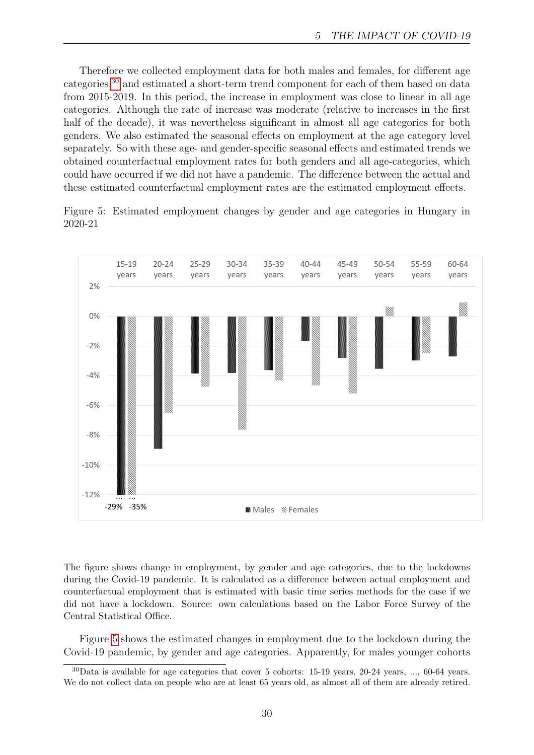Therefore we collected employment data for both males and females, for different age categories,[30](#page-29-0) and estimated a short-term trend component for each of them based on data from 2015-2019. In this period, the increase in employment was close to linear in all age categories. Although the rate of increase was moderate (relative to increases in the first half of the decade), it was nevertheless significant in almost all age categories for both genders. We also estimated the seasonal effects on employment at the age category level separately. So with these age- and gender-specific seasonal effects and estimated trends we obtained counterfactual employment rates for both genders and all age-categories, which could have occurred if we did not have a pandemic. The difference between the actual and these estimated counterfactual employment rates are the estimated employment effects.

<span id="page-29-1"></span>Figure 5: Estimated employment changes by gender and age categories in Hungary in 2020-21



The figure shows change in employment, by gender and age categories, due to the lockdowns during the Covid-19 pandemic. It is calculated as a difference between actual employment and counterfactual employment that is estimated with basic time series methods for the case if we did not have a lockdown. Source: own calculations based on the Labor Force Survey of the Central Statistical Office.

Figure [5](#page-29-1) shows the estimated changes in employment due to the lockdown during the Covid-19 pandemic, by gender and age categories. Apparently, for males younger cohorts

<span id="page-29-0"></span><sup>30</sup>Data is available for age categories that cover 5 cohorts: 15-19 years, 20-24 years, ..., 60-64 years. We do not collect data on people who are at least 65 years old, as almost all of them are already retired.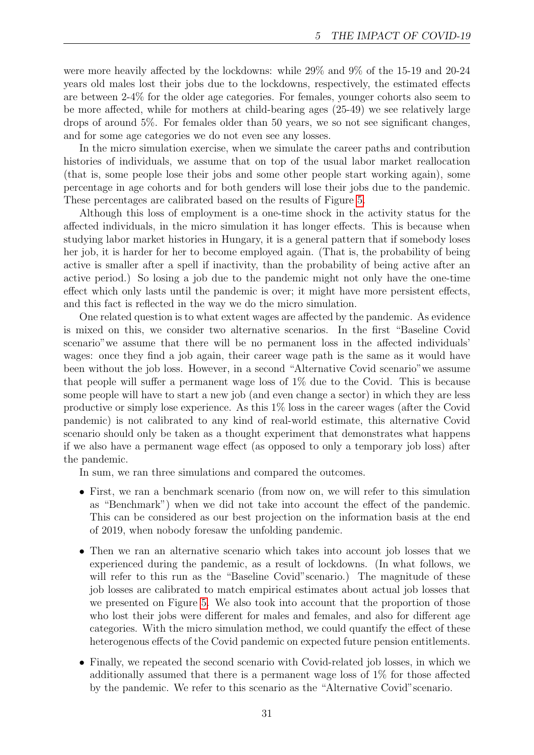were more heavily affected by the lockdowns: while 29% and 9% of the 15-19 and 20-24 years old males lost their jobs due to the lockdowns, respectively, the estimated effects are between 2-4% for the older age categories. For females, younger cohorts also seem to be more affected, while for mothers at child-bearing ages (25-49) we see relatively large drops of around 5%. For females older than 50 years, we so not see significant changes, and for some age categories we do not even see any losses.

In the micro simulation exercise, when we simulate the career paths and contribution histories of individuals, we assume that on top of the usual labor market reallocation (that is, some people lose their jobs and some other people start working again), some percentage in age cohorts and for both genders will lose their jobs due to the pandemic. These percentages are calibrated based on the results of Figure [5.](#page-29-1)

Although this loss of employment is a one-time shock in the activity status for the affected individuals, in the micro simulation it has longer effects. This is because when studying labor market histories in Hungary, it is a general pattern that if somebody loses her job, it is harder for her to become employed again. (That is, the probability of being active is smaller after a spell if inactivity, than the probability of being active after an active period.) So losing a job due to the pandemic might not only have the one-time effect which only lasts until the pandemic is over; it might have more persistent effects, and this fact is reflected in the way we do the micro simulation.

One related question is to what extent wages are affected by the pandemic. As evidence is mixed on this, we consider two alternative scenarios. In the first "Baseline Covid scenario"we assume that there will be no permanent loss in the affected individuals' wages: once they find a job again, their career wage path is the same as it would have been without the job loss. However, in a second "Alternative Covid scenario"we assume that people will suffer a permanent wage loss of 1% due to the Covid. This is because some people will have to start a new job (and even change a sector) in which they are less productive or simply lose experience. As this 1% loss in the career wages (after the Covid pandemic) is not calibrated to any kind of real-world estimate, this alternative Covid scenario should only be taken as a thought experiment that demonstrates what happens if we also have a permanent wage effect (as opposed to only a temporary job loss) after the pandemic.

In sum, we ran three simulations and compared the outcomes.

- First, we ran a benchmark scenario (from now on, we will refer to this simulation as "Benchmark") when we did not take into account the effect of the pandemic. This can be considered as our best projection on the information basis at the end of 2019, when nobody foresaw the unfolding pandemic.
- Then we ran an alternative scenario which takes into account job losses that we experienced during the pandemic, as a result of lockdowns. (In what follows, we will refer to this run as the "Baseline Covid" scenario.) The magnitude of these job losses are calibrated to match empirical estimates about actual job losses that we presented on Figure [5.](#page-29-1) We also took into account that the proportion of those who lost their jobs were different for males and females, and also for different age categories. With the micro simulation method, we could quantify the effect of these heterogenous effects of the Covid pandemic on expected future pension entitlements.
- Finally, we repeated the second scenario with Covid-related job losses, in which we additionally assumed that there is a permanent wage loss of 1% for those affected by the pandemic. We refer to this scenario as the "Alternative Covid"scenario.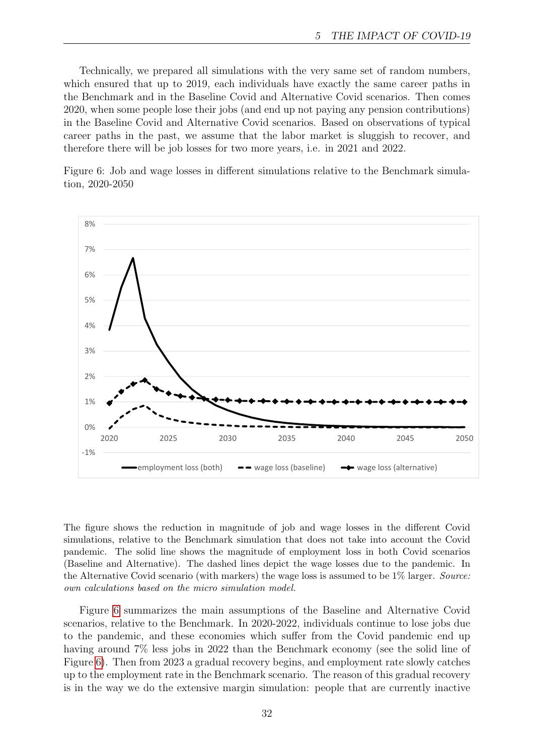Technically, we prepared all simulations with the very same set of random numbers, which ensured that up to 2019, each individuals have exactly the same career paths in the Benchmark and in the Baseline Covid and Alternative Covid scenarios. Then comes 2020, when some people lose their jobs (and end up not paying any pension contributions) in the Baseline Covid and Alternative Covid scenarios. Based on observations of typical career paths in the past, we assume that the labor market is sluggish to recover, and therefore there will be job losses for two more years, i.e. in 2021 and 2022.

<span id="page-31-0"></span>Figure 6: Job and wage losses in different simulations relative to the Benchmark simulation, 2020-2050



The figure shows the reduction in magnitude of job and wage losses in the different Covid simulations, relative to the Benchmark simulation that does not take into account the Covid pandemic. The solid line shows the magnitude of employment loss in both Covid scenarios (Baseline and Alternative). The dashed lines depict the wage losses due to the pandemic. In the Alternative Covid scenario (with markers) the wage loss is assumed to be 1\% larger. Source: own calculations based on the micro simulation model.

Figure [6](#page-31-0) summarizes the main assumptions of the Baseline and Alternative Covid scenarios, relative to the Benchmark. In 2020-2022, individuals continue to lose jobs due to the pandemic, and these economies which suffer from the Covid pandemic end up having around  $7\%$  less jobs in 2022 than the Benchmark economy (see the solid line of Figure [6\)](#page-31-0). Then from 2023 a gradual recovery begins, and employment rate slowly catches up to the employment rate in the Benchmark scenario. The reason of this gradual recovery is in the way we do the extensive margin simulation: people that are currently inactive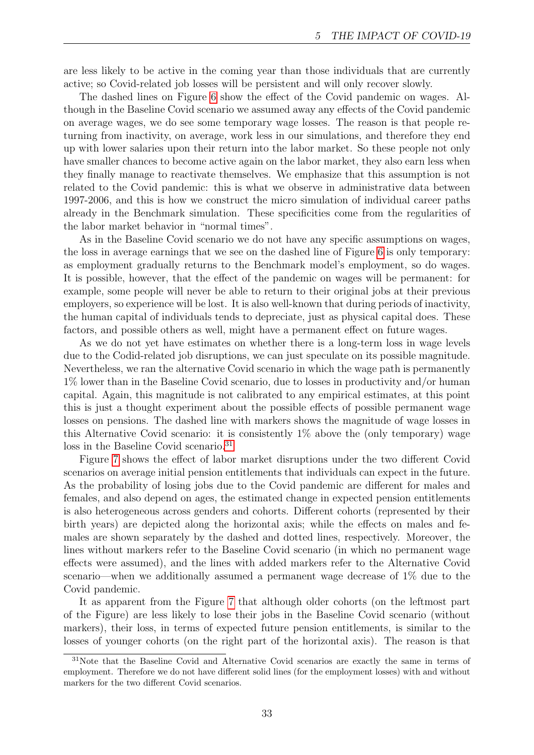are less likely to be active in the coming year than those individuals that are currently active; so Covid-related job losses will be persistent and will only recover slowly.

The dashed lines on Figure [6](#page-31-0) show the effect of the Covid pandemic on wages. Although in the Baseline Covid scenario we assumed away any effects of the Covid pandemic on average wages, we do see some temporary wage losses. The reason is that people returning from inactivity, on average, work less in our simulations, and therefore they end up with lower salaries upon their return into the labor market. So these people not only have smaller chances to become active again on the labor market, they also earn less when they finally manage to reactivate themselves. We emphasize that this assumption is not related to the Covid pandemic: this is what we observe in administrative data between 1997-2006, and this is how we construct the micro simulation of individual career paths already in the Benchmark simulation. These specificities come from the regularities of the labor market behavior in "normal times".

As in the Baseline Covid scenario we do not have any specific assumptions on wages, the loss in average earnings that we see on the dashed line of Figure [6](#page-31-0) is only temporary: as employment gradually returns to the Benchmark model's employment, so do wages. It is possible, however, that the effect of the pandemic on wages will be permanent: for example, some people will never be able to return to their original jobs at their previous employers, so experience will be lost. It is also well-known that during periods of inactivity, the human capital of individuals tends to depreciate, just as physical capital does. These factors, and possible others as well, might have a permanent effect on future wages.

As we do not yet have estimates on whether there is a long-term loss in wage levels due to the Codid-related job disruptions, we can just speculate on its possible magnitude. Nevertheless, we ran the alternative Covid scenario in which the wage path is permanently 1% lower than in the Baseline Covid scenario, due to losses in productivity and/or human capital. Again, this magnitude is not calibrated to any empirical estimates, at this point this is just a thought experiment about the possible effects of possible permanent wage losses on pensions. The dashed line with markers shows the magnitude of wage losses in this Alternative Covid scenario: it is consistently  $1\%$  above the (only temporary) wage loss in the Baseline Covid scenario.<sup>[31](#page-32-0)</sup>

Figure [7](#page-33-0) shows the effect of labor market disruptions under the two different Covid scenarios on average initial pension entitlements that individuals can expect in the future. As the probability of losing jobs due to the Covid pandemic are different for males and females, and also depend on ages, the estimated change in expected pension entitlements is also heterogeneous across genders and cohorts. Different cohorts (represented by their birth years) are depicted along the horizontal axis; while the effects on males and females are shown separately by the dashed and dotted lines, respectively. Moreover, the lines without markers refer to the Baseline Covid scenario (in which no permanent wage effects were assumed), and the lines with added markers refer to the Alternative Covid scenario—when we additionally assumed a permanent wage decrease of 1% due to the Covid pandemic.

It as apparent from the Figure [7](#page-33-0) that although older cohorts (on the leftmost part of the Figure) are less likely to lose their jobs in the Baseline Covid scenario (without markers), their loss, in terms of expected future pension entitlements, is similar to the losses of younger cohorts (on the right part of the horizontal axis). The reason is that

<span id="page-32-0"></span><sup>&</sup>lt;sup>31</sup>Note that the Baseline Covid and Alternative Covid scenarios are exactly the same in terms of employment. Therefore we do not have different solid lines (for the employment losses) with and without markers for the two different Covid scenarios.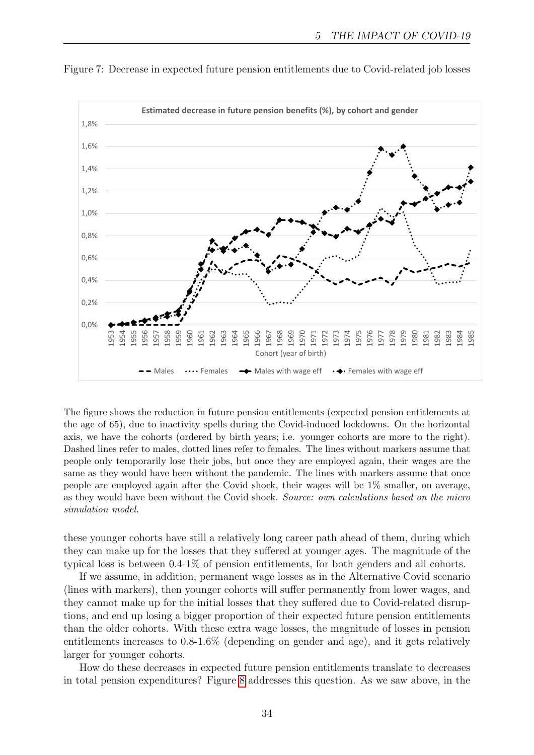

<span id="page-33-0"></span>Figure 7: Decrease in expected future pension entitlements due to Covid-related job losses

The figure shows the reduction in future pension entitlements (expected pension entitlements at the age of 65), due to inactivity spells during the Covid-induced lockdowns. On the horizontal axis, we have the cohorts (ordered by birth years; i.e. younger cohorts are more to the right). Dashed lines refer to males, dotted lines refer to females. The lines without markers assume that people only temporarily lose their jobs, but once they are employed again, their wages are the same as they would have been without the pandemic. The lines with markers assume that once people are employed again after the Covid shock, their wages will be 1% smaller, on average, as they would have been without the Covid shock. Source: own calculations based on the micro simulation model.

these younger cohorts have still a relatively long career path ahead of them, during which they can make up for the losses that they suffered at younger ages. The magnitude of the typical loss is between 0.4-1% of pension entitlements, for both genders and all cohorts.

If we assume, in addition, permanent wage losses as in the Alternative Covid scenario (lines with markers), then younger cohorts will suffer permanently from lower wages, and they cannot make up for the initial losses that they suffered due to Covid-related disruptions, and end up losing a bigger proportion of their expected future pension entitlements than the older cohorts. With these extra wage losses, the magnitude of losses in pension entitlements increases to 0.8-1.6% (depending on gender and age), and it gets relatively larger for younger cohorts.

How do these decreases in expected future pension entitlements translate to decreases in total pension expenditures? Figure [8](#page-34-0) addresses this question. As we saw above, in the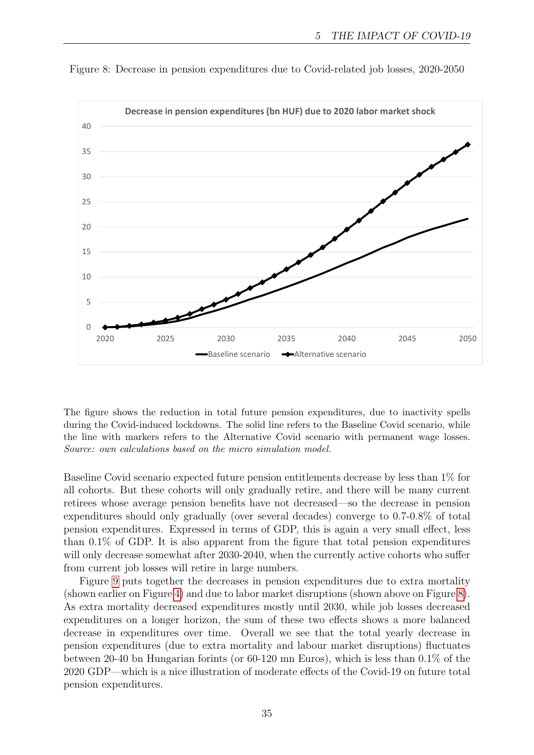

<span id="page-34-0"></span>Figure 8: Decrease in pension expenditures due to Covid-related job losses, 2020-2050

The figure shows the reduction in total future pension expenditures, due to inactivity spells during the Covid-induced lockdowns. The solid line refers to the Baseline Covid scenario, while the line with markers refers to the Alternative Covid scenario with permanent wage losses. Source: own calculations based on the micro simulation model.

Baseline Covid scenario expected future pension entitlements decrease by less than 1% for all cohorts. But these cohorts will only gradually retire, and there will be many current retirees whose average pension benefits have not decreased—so the decrease in pension expenditures should only gradually (over several decades) converge to 0.7-0.8% of total pension expenditures. Expressed in terms of GDP, this is again a very small effect, less than 0.1% of GDP. It is also apparent from the figure that total pension expenditures will only decrease somewhat after 2030-2040, when the currently active cohorts who suffer from current job losses will retire in large numbers.

Figure [9](#page-35-0) puts together the decreases in pension expenditures due to extra mortality (shown earlier on Figure [4\)](#page-27-0) and due to labor market disruptions (shown above on Figure [8\)](#page-34-0). As extra mortality decreased expenditures mostly until 2030, while job losses decreased expenditures on a longer horizon, the sum of these two effects shows a more balanced decrease in expenditures over time. Overall we see that the total yearly decrease in pension expenditures (due to extra mortality and labour market disruptions) fluctuates between 20-40 bn Hungarian forints (or 60-120 mn Euros), which is less than 0.1% of the 2020 GDP—which is a nice illustration of moderate effects of the Covid-19 on future total pension expenditures.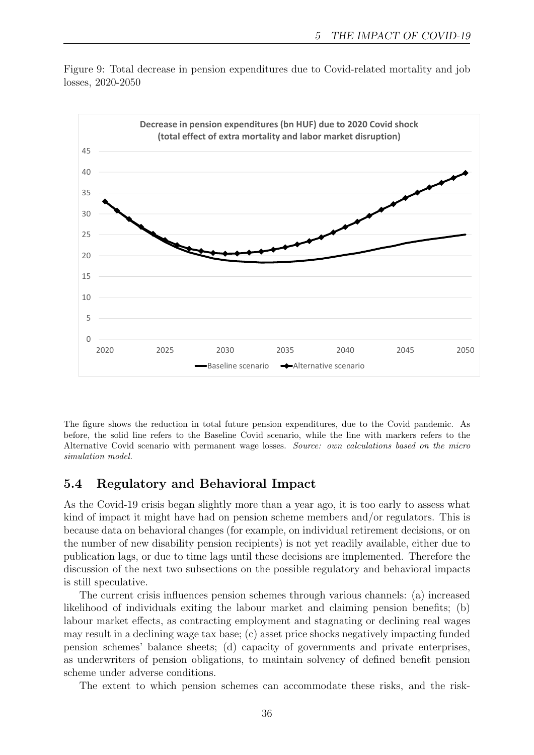

<span id="page-35-0"></span>Figure 9: Total decrease in pension expenditures due to Covid-related mortality and job losses, 2020-2050

The figure shows the reduction in total future pension expenditures, due to the Covid pandemic. As before, the solid line refers to the Baseline Covid scenario, while the line with markers refers to the Alternative Covid scenario with permanent wage losses. Source: own calculations based on the micro simulation model.

### 5.4 Regulatory and Behavioral Impact

As the Covid-19 crisis began slightly more than a year ago, it is too early to assess what kind of impact it might have had on pension scheme members and/or regulators. This is because data on behavioral changes (for example, on individual retirement decisions, or on the number of new disability pension recipients) is not yet readily available, either due to publication lags, or due to time lags until these decisions are implemented. Therefore the discussion of the next two subsections on the possible regulatory and behavioral impacts is still speculative.

The current crisis influences pension schemes through various channels: (a) increased likelihood of individuals exiting the labour market and claiming pension benefits; (b) labour market effects, as contracting employment and stagnating or declining real wages may result in a declining wage tax base; (c) asset price shocks negatively impacting funded pension schemes' balance sheets; (d) capacity of governments and private enterprises, as underwriters of pension obligations, to maintain solvency of defined benefit pension scheme under adverse conditions.

The extent to which pension schemes can accommodate these risks, and the risk-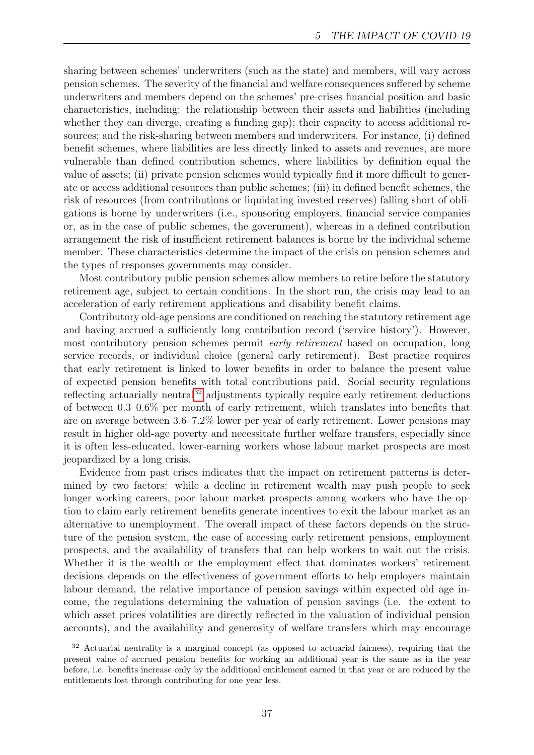sharing between schemes' underwriters (such as the state) and members, will vary across pension schemes. The severity of the financial and welfare consequences suffered by scheme underwriters and members depend on the schemes' pre-crises financial position and basic characteristics, including: the relationship between their assets and liabilities (including whether they can diverge, creating a funding gap); their capacity to access additional resources; and the risk-sharing between members and underwriters. For instance, (i) defined benefit schemes, where liabilities are less directly linked to assets and revenues, are more vulnerable than defined contribution schemes, where liabilities by definition equal the value of assets; (ii) private pension schemes would typically find it more difficult to generate or access additional resources than public schemes; (iii) in defined benefit schemes, the risk of resources (from contributions or liquidating invested reserves) falling short of obligations is borne by underwriters (i.e., sponsoring employers, financial service companies or, as in the case of public schemes, the government), whereas in a defined contribution arrangement the risk of insufficient retirement balances is borne by the individual scheme member. These characteristics determine the impact of the crisis on pension schemes and the types of responses governments may consider.

Most contributory public pension schemes allow members to retire before the statutory retirement age, subject to certain conditions. In the short run, the crisis may lead to an acceleration of early retirement applications and disability benefit claims.

Contributory old-age pensions are conditioned on reaching the statutory retirement age and having accrued a sufficiently long contribution record ('service history'). However, most contributory pension schemes permit early retirement based on occupation, long service records, or individual choice (general early retirement). Best practice requires that early retirement is linked to lower benefits in order to balance the present value of expected pension benefits with total contributions paid. Social security regulations reflecting actuarially neutral<sup>[32](#page-36-0)</sup> adjustments typically require early retirement deductions of between 0.3–0.6% per month of early retirement, which translates into benefits that are on average between 3.6–7.2% lower per year of early retirement. Lower pensions may result in higher old-age poverty and necessitate further welfare transfers, especially since it is often less-educated, lower-earning workers whose labour market prospects are most jeopardized by a long crisis.

Evidence from past crises indicates that the impact on retirement patterns is determined by two factors: while a decline in retirement wealth may push people to seek longer working careers, poor labour market prospects among workers who have the option to claim early retirement benefits generate incentives to exit the labour market as an alternative to unemployment. The overall impact of these factors depends on the structure of the pension system, the ease of accessing early retirement pensions, employment prospects, and the availability of transfers that can help workers to wait out the crisis. Whether it is the wealth or the employment effect that dominates workers' retirement decisions depends on the effectiveness of government efforts to help employers maintain labour demand, the relative importance of pension savings within expected old age income, the regulations determining the valuation of pension savings (i.e. the extent to which asset prices volatilities are directly reflected in the valuation of individual pension accounts), and the availability and generosity of welfare transfers which may encourage

<span id="page-36-0"></span><sup>&</sup>lt;sup>32</sup> Actuarial neutrality is a marginal concept (as opposed to actuarial fairness), requiring that the present value of accrued pension benefits for working an additional year is the same as in the year before, i.e. benefits increase only by the additional entitlement earned in that year or are reduced by the entitlements lost through contributing for one year less.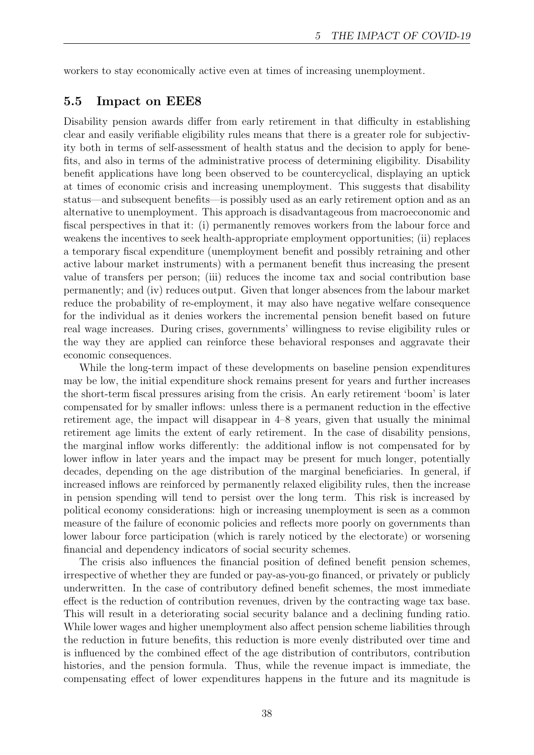workers to stay economically active even at times of increasing unemployment.

#### 5.5 Impact on EEE8

Disability pension awards differ from early retirement in that difficulty in establishing clear and easily verifiable eligibility rules means that there is a greater role for subjectivity both in terms of self-assessment of health status and the decision to apply for benefits, and also in terms of the administrative process of determining eligibility. Disability benefit applications have long been observed to be countercyclical, displaying an uptick at times of economic crisis and increasing unemployment. This suggests that disability status—and subsequent benefits—is possibly used as an early retirement option and as an alternative to unemployment. This approach is disadvantageous from macroeconomic and fiscal perspectives in that it: (i) permanently removes workers from the labour force and weakens the incentives to seek health-appropriate employment opportunities; (ii) replaces a temporary fiscal expenditure (unemployment benefit and possibly retraining and other active labour market instruments) with a permanent benefit thus increasing the present value of transfers per person; (iii) reduces the income tax and social contribution base permanently; and (iv) reduces output. Given that longer absences from the labour market reduce the probability of re-employment, it may also have negative welfare consequence for the individual as it denies workers the incremental pension benefit based on future real wage increases. During crises, governments' willingness to revise eligibility rules or the way they are applied can reinforce these behavioral responses and aggravate their economic consequences.

While the long-term impact of these developments on baseline pension expenditures may be low, the initial expenditure shock remains present for years and further increases the short-term fiscal pressures arising from the crisis. An early retirement 'boom' is later compensated for by smaller inflows: unless there is a permanent reduction in the effective retirement age, the impact will disappear in 4–8 years, given that usually the minimal retirement age limits the extent of early retirement. In the case of disability pensions, the marginal inflow works differently: the additional inflow is not compensated for by lower inflow in later years and the impact may be present for much longer, potentially decades, depending on the age distribution of the marginal beneficiaries. In general, if increased inflows are reinforced by permanently relaxed eligibility rules, then the increase in pension spending will tend to persist over the long term. This risk is increased by political economy considerations: high or increasing unemployment is seen as a common measure of the failure of economic policies and reflects more poorly on governments than lower labour force participation (which is rarely noticed by the electorate) or worsening financial and dependency indicators of social security schemes.

The crisis also influences the financial position of defined benefit pension schemes, irrespective of whether they are funded or pay-as-you-go financed, or privately or publicly underwritten. In the case of contributory defined benefit schemes, the most immediate effect is the reduction of contribution revenues, driven by the contracting wage tax base. This will result in a deteriorating social security balance and a declining funding ratio. While lower wages and higher unemployment also affect pension scheme liabilities through the reduction in future benefits, this reduction is more evenly distributed over time and is influenced by the combined effect of the age distribution of contributors, contribution histories, and the pension formula. Thus, while the revenue impact is immediate, the compensating effect of lower expenditures happens in the future and its magnitude is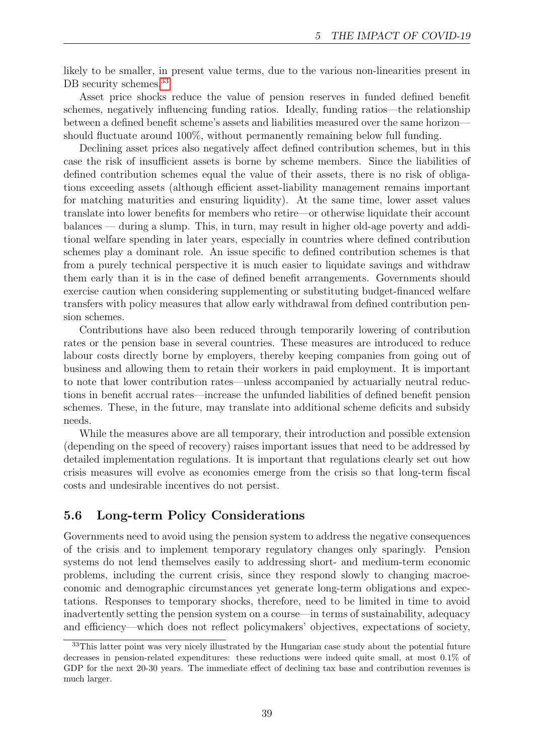likely to be smaller, in present value terms, due to the various non-linearities present in DB security schemes.<sup>[33](#page-38-0)</sup>

Asset price shocks reduce the value of pension reserves in funded defined benefit schemes, negatively influencing funding ratios. Ideally, funding ratios—the relationship between a defined benefit scheme's assets and liabilities measured over the same horizon should fluctuate around 100%, without permanently remaining below full funding.

Declining asset prices also negatively affect defined contribution schemes, but in this case the risk of insufficient assets is borne by scheme members. Since the liabilities of defined contribution schemes equal the value of their assets, there is no risk of obligations exceeding assets (although efficient asset-liability management remains important for matching maturities and ensuring liquidity). At the same time, lower asset values translate into lower benefits for members who retire—or otherwise liquidate their account balances — during a slump. This, in turn, may result in higher old-age poverty and additional welfare spending in later years, especially in countries where defined contribution schemes play a dominant role. An issue specific to defined contribution schemes is that from a purely technical perspective it is much easier to liquidate savings and withdraw them early than it is in the case of defined benefit arrangements. Governments should exercise caution when considering supplementing or substituting budget-financed welfare transfers with policy measures that allow early withdrawal from defined contribution pension schemes.

Contributions have also been reduced through temporarily lowering of contribution rates or the pension base in several countries. These measures are introduced to reduce labour costs directly borne by employers, thereby keeping companies from going out of business and allowing them to retain their workers in paid employment. It is important to note that lower contribution rates—unless accompanied by actuarially neutral reductions in benefit accrual rates—increase the unfunded liabilities of defined benefit pension schemes. These, in the future, may translate into additional scheme deficits and subsidy needs.

While the measures above are all temporary, their introduction and possible extension (depending on the speed of recovery) raises important issues that need to be addressed by detailed implementation regulations. It is important that regulations clearly set out how crisis measures will evolve as economies emerge from the crisis so that long-term fiscal costs and undesirable incentives do not persist.

### 5.6 Long-term Policy Considerations

Governments need to avoid using the pension system to address the negative consequences of the crisis and to implement temporary regulatory changes only sparingly. Pension systems do not lend themselves easily to addressing short- and medium-term economic problems, including the current crisis, since they respond slowly to changing macroeconomic and demographic circumstances yet generate long-term obligations and expectations. Responses to temporary shocks, therefore, need to be limited in time to avoid inadvertently setting the pension system on a course—in terms of sustainability, adequacy and efficiency—which does not reflect policymakers' objectives, expectations of society,

<span id="page-38-0"></span><sup>33</sup>This latter point was very nicely illustrated by the Hungarian case study about the potential future decreases in pension-related expenditures: these reductions were indeed quite small, at most 0.1% of GDP for the next 20-30 years. The immediate effect of declining tax base and contribution revenues is much larger.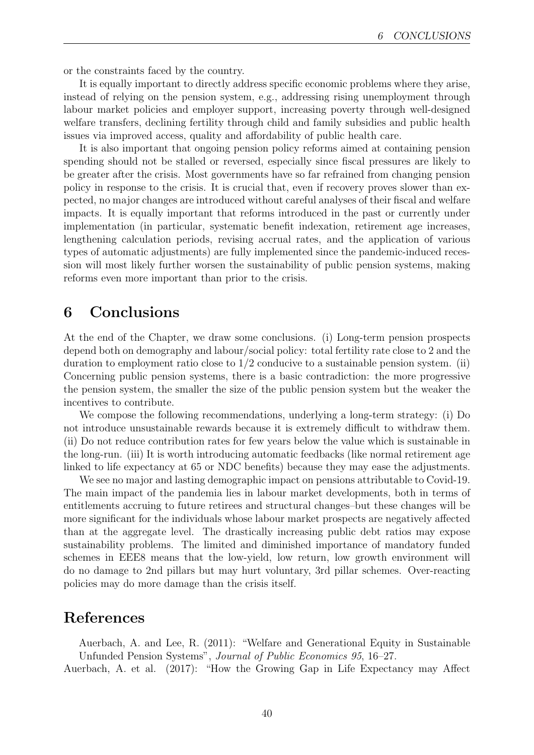or the constraints faced by the country.

It is equally important to directly address specific economic problems where they arise, instead of relying on the pension system, e.g., addressing rising unemployment through labour market policies and employer support, increasing poverty through well-designed welfare transfers, declining fertility through child and family subsidies and public health issues via improved access, quality and affordability of public health care.

It is also important that ongoing pension policy reforms aimed at containing pension spending should not be stalled or reversed, especially since fiscal pressures are likely to be greater after the crisis. Most governments have so far refrained from changing pension policy in response to the crisis. It is crucial that, even if recovery proves slower than expected, no major changes are introduced without careful analyses of their fiscal and welfare impacts. It is equally important that reforms introduced in the past or currently under implementation (in particular, systematic benefit indexation, retirement age increases, lengthening calculation periods, revising accrual rates, and the application of various types of automatic adjustments) are fully implemented since the pandemic-induced recession will most likely further worsen the sustainability of public pension systems, making reforms even more important than prior to the crisis.

# 6 Conclusions

At the end of the Chapter, we draw some conclusions. (i) Long-term pension prospects depend both on demography and labour/social policy: total fertility rate close to 2 and the duration to employment ratio close to  $1/2$  conducive to a sustainable pension system. (ii) Concerning public pension systems, there is a basic contradiction: the more progressive the pension system, the smaller the size of the public pension system but the weaker the incentives to contribute.

We compose the following recommendations, underlying a long-term strategy: (i) Do not introduce unsustainable rewards because it is extremely difficult to withdraw them. (ii) Do not reduce contribution rates for few years below the value which is sustainable in the long-run. (iii) It is worth introducing automatic feedbacks (like normal retirement age linked to life expectancy at 65 or NDC benefits) because they may ease the adjustments.

We see no major and lasting demographic impact on pensions attributable to Covid-19. The main impact of the pandemia lies in labour market developments, both in terms of entitlements accruing to future retirees and structural changes–but these changes will be more significant for the individuals whose labour market prospects are negatively affected than at the aggregate level. The drastically increasing public debt ratios may expose sustainability problems. The limited and diminished importance of mandatory funded schemes in EEE8 means that the low-yield, low return, low growth environment will do no damage to 2nd pillars but may hurt voluntary, 3rd pillar schemes. Over-reacting policies may do more damage than the crisis itself.

## References

Auerbach, A. and Lee, R. (2011): "Welfare and Generational Equity in Sustainable Unfunded Pension Systems", Journal of Public Economics 95, 16–27.

Auerbach, A. et al. (2017): "How the Growing Gap in Life Expectancy may Affect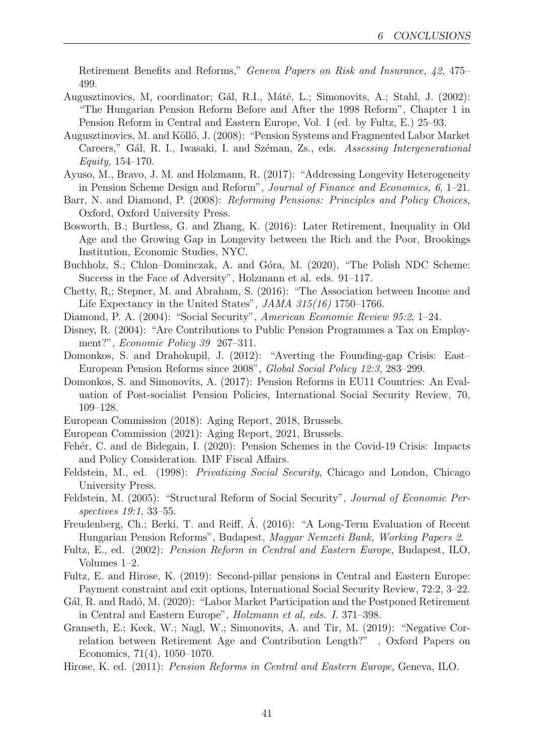Retirement Benefits and Reforms," Geneva Papers on Risk and Insurance, 42, 475– 499.

- Augusztinovics, M, coordinator; Gál, R.I., Máté, L.; Simonovits, A.; Stahl, J. (2002): "The Hungarian Pension Reform Before and After the 1998 Reform", Chapter 1 in Pension Reform in Central and Eastern Europe, Vol. I (ed. by Fultz, E.) 25–93.
- Augusztinovics, M. and Köllő, J. (2008): "Pension Systems and Fragmented Labor Market Careers," Gál, R. I., Iwasaki, I. and Széman, Zs., eds. Assessing Intergenerational Equity, 154–170.
- Ayuso, M., Bravo, J. M. and Holzmann, R. (2017): "Addressing Longevity Heterogeneity in Pension Scheme Design and Reform", Journal of Finance and Economics, 6, 1–21.
- Barr, N. and Diamond, P. (2008): Reforming Pensions: Principles and Policy Choices, Oxford, Oxford University Press.
- Bosworth, B.; Burtless, G. and Zhang, K. (2016): Later Retirement, Inequality in Old Age and the Growing Gap in Longevity between the Rich and the Poor, Brookings Institution, Economic Studies, NYC.
- Buchholz, S.; Chlon–Dominczak, A. and Góra, M. (2020), "The Polish NDC Scheme: Success in the Face of Adversity", Holzmann et al. eds. 91–117.
- Chetty, R,; Stepner, M. and Abraham, S. (2016): "The Association between Income and Life Expectancy in the United States", JAMA 315(16) 1750–1766.
- Diamond, P. A. (2004): "Social Security", American Economic Review 95:2, 1–24.
- Disney, R. (2004): "Are Contributions to Public Pension Programmes a Tax on Employment?", Economic Policy 39 267–311.
- Domonkos, S. and Drahokupil, J. (2012): "Averting the Founding-gap Crisis: East– European Pension Reforms since 2008", Global Social Policy 12:3, 283–299.
- Domonkos, S. and Simonovits, A. (2017): Pension Reforms in EU11 Countries: An Evaluation of Post-socialist Pension Policies, International Social Security Review, 70, 109–128.
- European Commission (2018): Aging Report, 2018, Brussels.
- European Commission (2021): Aging Report, 2021, Brussels.
- Fehér, C. and de Bidegain, I. (2020): Pension Schemes in the Covid-19 Crisis: Impacts and Policy Consideration. IMF Fiscal Affairs.
- Feldstein, M., ed. (1998): Privatizing Social Security, Chicago and London, Chicago University Press.
- Feldstein, M. (2005): "Structural Reform of Social Security", Journal of Economic Perspectives 19:1, 33–55.
- Freudenberg, Ch.; Berki, T. and Reiff, Á. (2016): "A Long-Term Evaluation of Recent Hungarian Pension Reforms", Budapest, Magyar Nemzeti Bank, Working Papers 2.
- Fultz, E., ed. (2002): Pension Reform in Central and Eastern Europe, Budapest, ILO, Volumes 1–2.
- Fultz, E. and Hirose, K. (2019): Second-pillar pensions in Central and Eastern Europe: Payment constraint and exit options, International Social Security Review, 72:2, 3–22.
- Gál, R. and Radó, M. (2020): "Labor Market Participation and the Postponed Retirement in Central and Eastern Europe", Holzmann et al, eds. I. 371–398.
- Granseth, E.; Keck, W.; Nagl, W.; Simonovits, A. and Tir, M. (2019): "Negative Correlation between Retirement Age and Contribution Length?" , Oxford Papers on Economics, 71(4), 1050–1070.
- Hirose, K. ed. (2011): Pension Reforms in Central and Eastern Europe, Geneva, ILO.